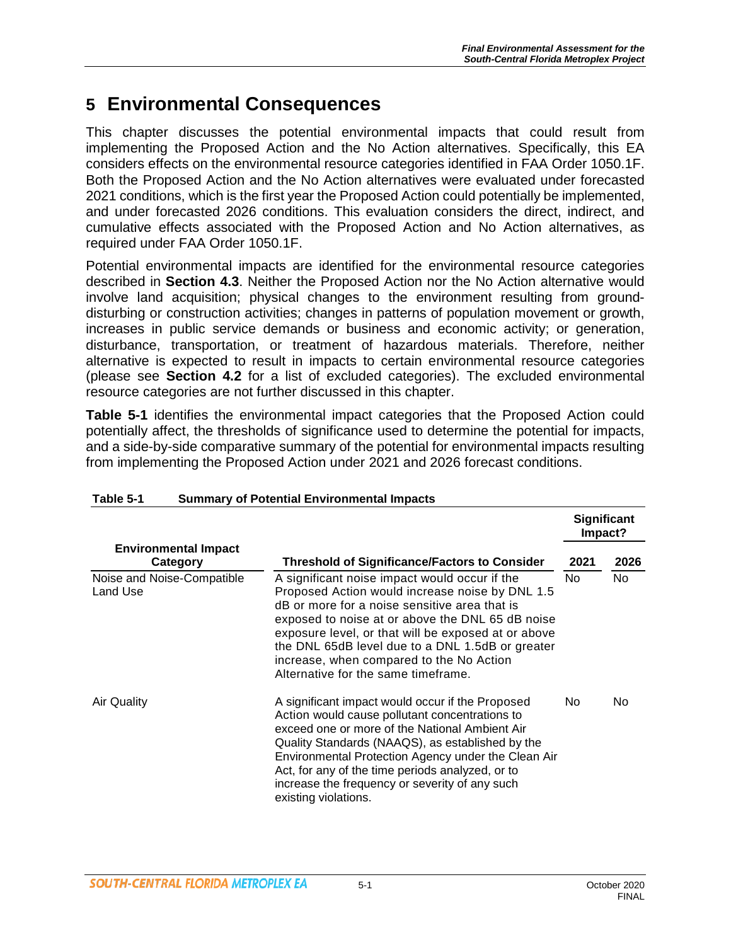# **5 Environmental Consequences**

This chapter discusses the potential environmental impacts that could result from implementing the Proposed Action and the No Action alternatives. Specifically, this EA considers effects on the environmental resource categories identified in FAA Order 1050.1F. Both the Proposed Action and the No Action alternatives were evaluated under forecasted 2021 conditions, which is the first year the Proposed Action could potentially be implemented, and under forecasted 2026 conditions. This evaluation considers the direct, indirect, and cumulative effects associated with the Proposed Action and No Action alternatives, as required under FAA Order 1050.1F.

Potential environmental impacts are identified for the environmental resource categories described in **Section 4.3**. Neither the Proposed Action nor the No Action alternative would involve land acquisition; physical changes to the environment resulting from grounddisturbing or construction activities; changes in patterns of population movement or growth, increases in public service demands or business and economic activity; or generation, disturbance, transportation, or treatment of hazardous materials. Therefore, neither alternative is expected to result in impacts to certain environmental resource categories (please see **Section 4.2** for a list of excluded categories). The excluded environmental resource categories are not further discussed in this chapter.

**Table 5-1** identifies the environmental impact categories that the Proposed Action could potentially affect, the thresholds of significance used to determine the potential for impacts, and a side-by-side comparative summary of the potential for environmental impacts resulting from implementing the Proposed Action under 2021 and 2026 forecast conditions.

|                                         |                                                                                                                                                                                                                                                                                                                                                                                                     | <b>Significant</b><br>Impact? |      |
|-----------------------------------------|-----------------------------------------------------------------------------------------------------------------------------------------------------------------------------------------------------------------------------------------------------------------------------------------------------------------------------------------------------------------------------------------------------|-------------------------------|------|
| <b>Environmental Impact</b><br>Category | <b>Threshold of Significance/Factors to Consider</b>                                                                                                                                                                                                                                                                                                                                                | 2021                          | 2026 |
| Noise and Noise-Compatible<br>Land Use  | A significant noise impact would occur if the<br>Proposed Action would increase noise by DNL 1.5<br>dB or more for a noise sensitive area that is<br>exposed to noise at or above the DNL 65 dB noise<br>exposure level, or that will be exposed at or above<br>the DNL 65dB level due to a DNL 1.5dB or greater<br>increase, when compared to the No Action<br>Alternative for the same timeframe. | No.                           | No   |
| Air Quality                             | A significant impact would occur if the Proposed<br>Action would cause pollutant concentrations to<br>exceed one or more of the National Ambient Air<br>Quality Standards (NAAQS), as established by the<br>Environmental Protection Agency under the Clean Air<br>Act, for any of the time periods analyzed, or to<br>increase the frequency or severity of any such<br>existing violations.       | No.                           | No.  |

#### **Table 5-1 Summary of Potential Environmental Impacts**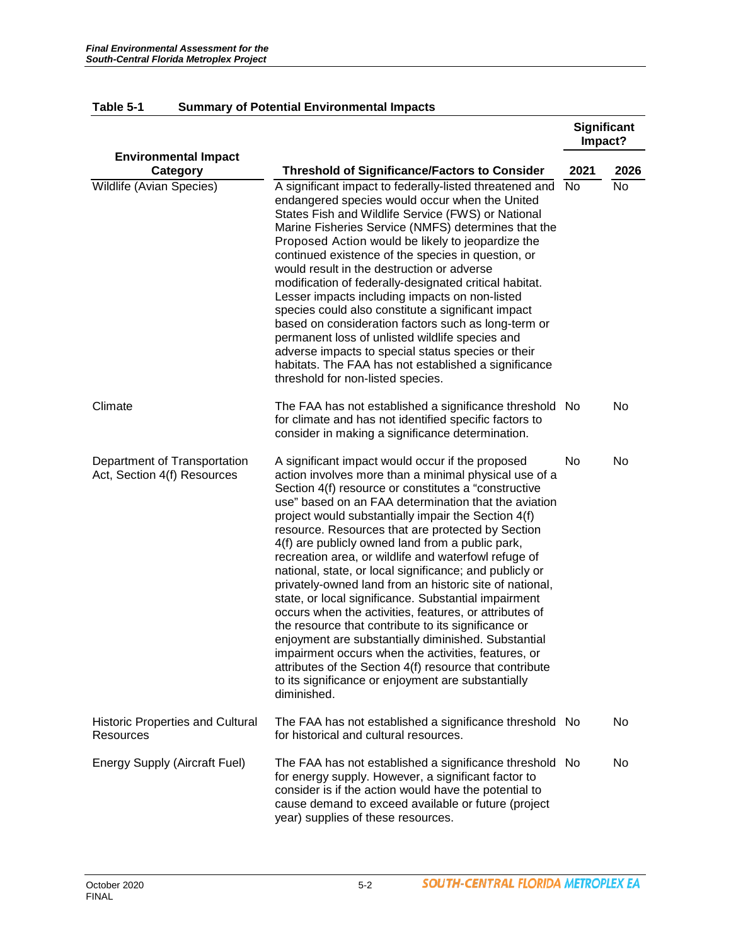|                                                             |                                                                                                                                                                                                                                                                                                                                                                                                                                                                                                                                                                                                                                                                                                                                                                                                                                                                                                                                                                                                | <b>Significant</b><br>Impact? |      |
|-------------------------------------------------------------|------------------------------------------------------------------------------------------------------------------------------------------------------------------------------------------------------------------------------------------------------------------------------------------------------------------------------------------------------------------------------------------------------------------------------------------------------------------------------------------------------------------------------------------------------------------------------------------------------------------------------------------------------------------------------------------------------------------------------------------------------------------------------------------------------------------------------------------------------------------------------------------------------------------------------------------------------------------------------------------------|-------------------------------|------|
| <b>Environmental Impact</b><br>Category                     | <b>Threshold of Significance/Factors to Consider</b>                                                                                                                                                                                                                                                                                                                                                                                                                                                                                                                                                                                                                                                                                                                                                                                                                                                                                                                                           | 2021                          | 2026 |
| Wildlife (Avian Species)                                    | A significant impact to federally-listed threatened and<br>endangered species would occur when the United<br>States Fish and Wildlife Service (FWS) or National<br>Marine Fisheries Service (NMFS) determines that the<br>Proposed Action would be likely to jeopardize the<br>continued existence of the species in question, or<br>would result in the destruction or adverse<br>modification of federally-designated critical habitat.<br>Lesser impacts including impacts on non-listed<br>species could also constitute a significant impact<br>based on consideration factors such as long-term or<br>permanent loss of unlisted wildlife species and<br>adverse impacts to special status species or their<br>habitats. The FAA has not established a significance<br>threshold for non-listed species.                                                                                                                                                                                 | No                            | No   |
| Climate                                                     | The FAA has not established a significance threshold No<br>for climate and has not identified specific factors to<br>consider in making a significance determination.                                                                                                                                                                                                                                                                                                                                                                                                                                                                                                                                                                                                                                                                                                                                                                                                                          |                               | No   |
| Department of Transportation<br>Act, Section 4(f) Resources | A significant impact would occur if the proposed<br>action involves more than a minimal physical use of a<br>Section 4(f) resource or constitutes a "constructive<br>use" based on an FAA determination that the aviation<br>project would substantially impair the Section 4(f)<br>resource. Resources that are protected by Section<br>4(f) are publicly owned land from a public park,<br>recreation area, or wildlife and waterfowl refuge of<br>national, state, or local significance; and publicly or<br>privately-owned land from an historic site of national,<br>state, or local significance. Substantial impairment<br>occurs when the activities, features, or attributes of<br>the resource that contribute to its significance or<br>enjoyment are substantially diminished. Substantial<br>impairment occurs when the activities, features, or<br>attributes of the Section 4(f) resource that contribute<br>to its significance or enjoyment are substantially<br>diminished. | No                            | No   |
| <b>Historic Properties and Cultural</b><br><b>Resources</b> | The FAA has not established a significance threshold No<br>for historical and cultural resources.                                                                                                                                                                                                                                                                                                                                                                                                                                                                                                                                                                                                                                                                                                                                                                                                                                                                                              |                               | No   |
| <b>Energy Supply (Aircraft Fuel)</b>                        | The FAA has not established a significance threshold No<br>for energy supply. However, a significant factor to<br>consider is if the action would have the potential to<br>cause demand to exceed available or future (project<br>year) supplies of these resources.                                                                                                                                                                                                                                                                                                                                                                                                                                                                                                                                                                                                                                                                                                                           |                               | No   |

#### **Table 5-1 Summary of Potential Environmental Impacts**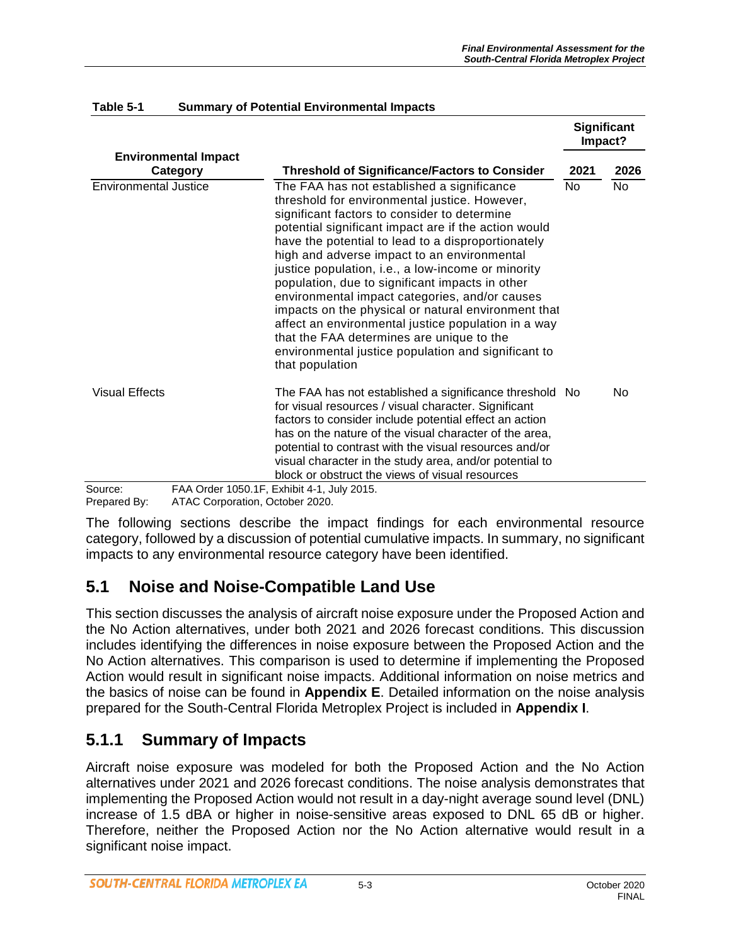**Significant** 

|                       |                                         |                                                                                                                                                                                                                                                                                                                                                                                                                                                                                                                                                                                                                                                                                                          |      | Significant<br>Impact? |
|-----------------------|-----------------------------------------|----------------------------------------------------------------------------------------------------------------------------------------------------------------------------------------------------------------------------------------------------------------------------------------------------------------------------------------------------------------------------------------------------------------------------------------------------------------------------------------------------------------------------------------------------------------------------------------------------------------------------------------------------------------------------------------------------------|------|------------------------|
|                       | <b>Environmental Impact</b><br>Category | <b>Threshold of Significance/Factors to Consider</b>                                                                                                                                                                                                                                                                                                                                                                                                                                                                                                                                                                                                                                                     | 2021 | 2026                   |
| Environmental Justice |                                         | The FAA has not established a significance<br>threshold for environmental justice. However,<br>significant factors to consider to determine<br>potential significant impact are if the action would<br>have the potential to lead to a disproportionately<br>high and adverse impact to an environmental<br>justice population, i.e., a low-income or minority<br>population, due to significant impacts in other<br>environmental impact categories, and/or causes<br>impacts on the physical or natural environment that<br>affect an environmental justice population in a way<br>that the FAA determines are unique to the<br>environmental justice population and significant to<br>that population | No.  | No                     |
| <b>Visual Effects</b> |                                         | The FAA has not established a significance threshold No<br>for visual resources / visual character. Significant<br>factors to consider include potential effect an action<br>has on the nature of the visual character of the area,<br>potential to contrast with the visual resources and/or<br>visual character in the study area, and/or potential to<br>block or obstruct the views of visual resources                                                                                                                                                                                                                                                                                              |      | No                     |
| Source:               |                                         | FAA Order 1050.1F, Exhibit 4-1, July 2015.                                                                                                                                                                                                                                                                                                                                                                                                                                                                                                                                                                                                                                                               |      |                        |

#### **Table 5-1 Summary of Potential Environmental Impacts**

Prepared By: ATAC Corporation, October 2020.

The following sections describe the impact findings for each environmental resource category, followed by a discussion of potential cumulative impacts. In summary, no significant impacts to any environmental resource category have been identified.

# **5.1 Noise and Noise-Compatible Land Use**

This section discusses the analysis of aircraft noise exposure under the Proposed Action and the No Action alternatives, under both 2021 and 2026 forecast conditions. This discussion includes identifying the differences in noise exposure between the Proposed Action and the No Action alternatives. This comparison is used to determine if implementing the Proposed Action would result in significant noise impacts. Additional information on noise metrics and the basics of noise can be found in **Appendix E**. Detailed information on the noise analysis prepared for the South-Central Florida Metroplex Project is included in **Appendix I**.

# **5.1.1 Summary of Impacts**

Aircraft noise exposure was modeled for both the Proposed Action and the No Action alternatives under 2021 and 2026 forecast conditions. The noise analysis demonstrates that implementing the Proposed Action would not result in a day-night average sound level (DNL) increase of 1.5 dBA or higher in noise-sensitive areas exposed to DNL 65 dB or higher. Therefore, neither the Proposed Action nor the No Action alternative would result in a significant noise impact.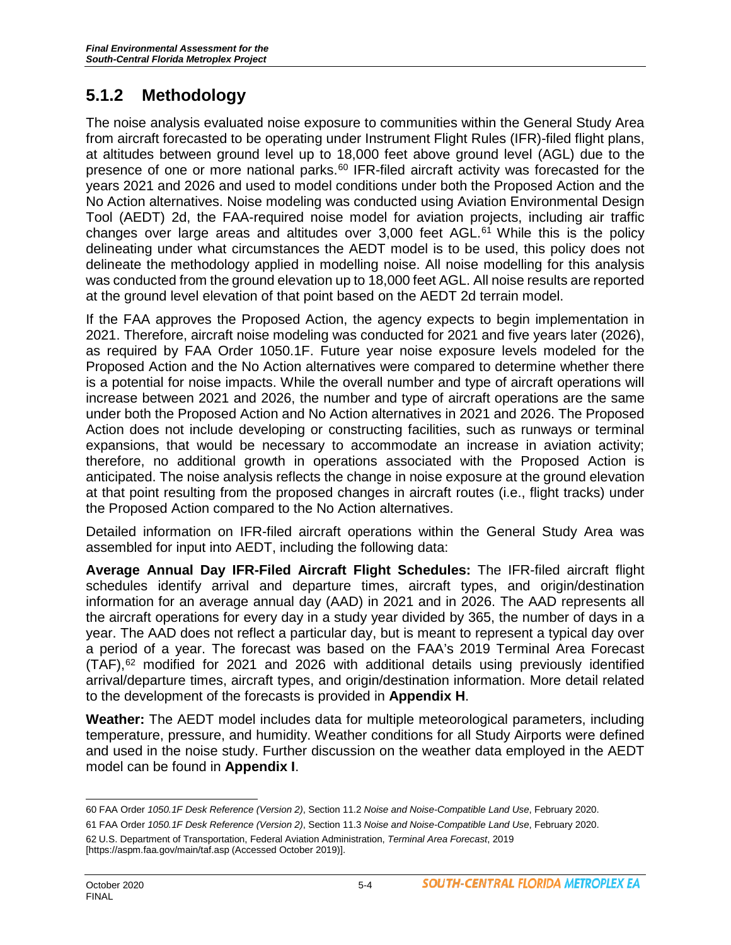# **5.1.2 Methodology**

The noise analysis evaluated noise exposure to communities within the General Study Area from aircraft forecasted to be operating under Instrument Flight Rules (IFR)-filed flight plans, at altitudes between ground level up to 18,000 feet above ground level (AGL) due to the presence of one or more national parks. $60$  IFR-filed aircraft activity was forecasted for the years 2021 and 2026 and used to model conditions under both the Proposed Action and the No Action alternatives. Noise modeling was conducted using Aviation Environmental Design Tool (AEDT) 2d, the FAA-required noise model for aviation projects, including air traffic changes over large areas and altitudes over  $3,000$  feet AGL.<sup>61</sup> While this is the policy delineating under what circumstances the AEDT model is to be used, this policy does not delineate the methodology applied in modelling noise. All noise modelling for this analysis was conducted from the ground elevation up to 18,000 feet AGL. All noise results are reported at the ground level elevation of that point based on the AEDT 2d terrain model.

If the FAA approves the Proposed Action, the agency expects to begin implementation in 2021. Therefore, aircraft noise modeling was conducted for 2021 and five years later (2026), as required by FAA Order 1050.1F. Future year noise exposure levels modeled for the Proposed Action and the No Action alternatives were compared to determine whether there is a potential for noise impacts. While the overall number and type of aircraft operations will increase between 2021 and 2026, the number and type of aircraft operations are the same under both the Proposed Action and No Action alternatives in 2021 and 2026. The Proposed Action does not include developing or constructing facilities, such as runways or terminal expansions, that would be necessary to accommodate an increase in aviation activity; therefore, no additional growth in operations associated with the Proposed Action is anticipated. The noise analysis reflects the change in noise exposure at the ground elevation at that point resulting from the proposed changes in aircraft routes (i.e., flight tracks) under the Proposed Action compared to the No Action alternatives.

Detailed information on IFR-filed aircraft operations within the General Study Area was assembled for input into AEDT, including the following data:

**Average Annual Day IFR-Filed Aircraft Flight Schedules:** The IFR-filed aircraft flight schedules identify arrival and departure times, aircraft types, and origin/destination information for an average annual day (AAD) in 2021 and in 2026. The AAD represents all the aircraft operations for every day in a study year divided by 365, the number of days in a year. The AAD does not reflect a particular day, but is meant to represent a typical day over a period of a year. The forecast was based on the FAA's 2019 Terminal Area Forecast  $(TAF)$ ,<sup>[62](#page-3-2)</sup> modified for 2021 and 2026 with additional details using previously identified arrival/departure times, aircraft types, and origin/destination information. More detail related to the development of the forecasts is provided in **Appendix H**.

**Weather:** The AEDT model includes data for multiple meteorological parameters, including temperature, pressure, and humidity. Weather conditions for all Study Airports were defined and used in the noise study. Further discussion on the weather data employed in the AEDT model can be found in **Appendix I**.

<span id="page-3-0"></span> $\overline{a}$ 60 FAA Order *1050.1F Desk Reference (Version 2)*, Section 11.2 *Noise and Noise-Compatible Land Use*, February 2020. 61 FAA Order *1050.1F Desk Reference (Version 2)*, Section 11.3 *Noise and Noise-Compatible Land Use*, February 2020.

<span id="page-3-2"></span><span id="page-3-1"></span><sup>62</sup> U.S. Department of Transportation, Federal Aviation Administration, *Terminal Area Forecast*, 2019 [https://aspm.faa.gov/main/taf.asp (Accessed October 2019)].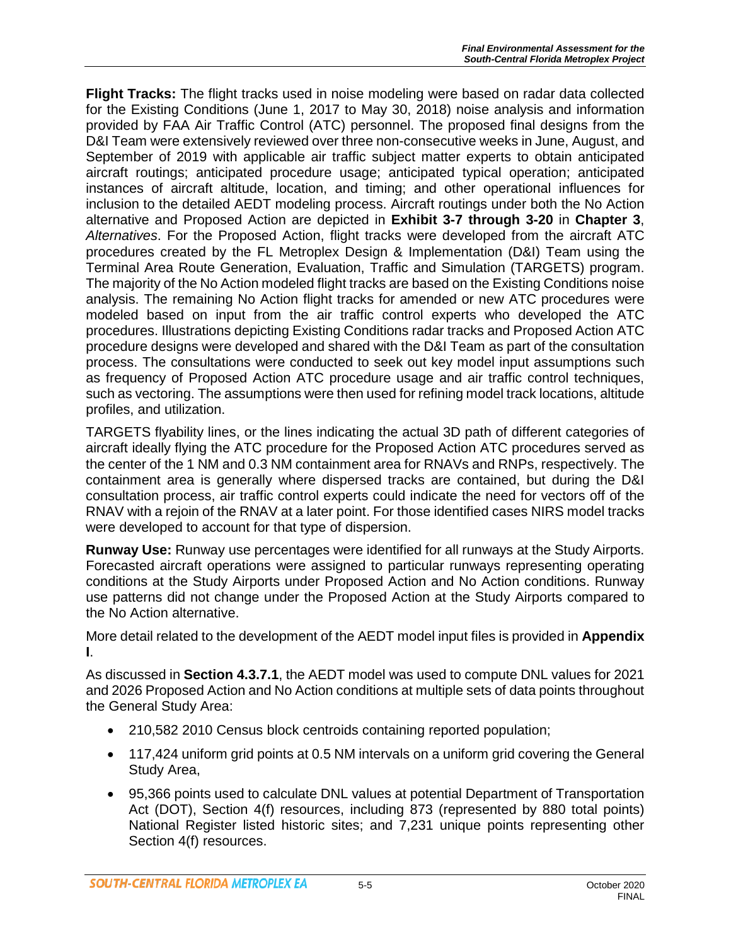**Flight Tracks:** The flight tracks used in noise modeling were based on radar data collected for the Existing Conditions (June 1, 2017 to May 30, 2018) noise analysis and information provided by FAA Air Traffic Control (ATC) personnel. The proposed final designs from the D&I Team were extensively reviewed over three non-consecutive weeks in June, August, and September of 2019 with applicable air traffic subject matter experts to obtain anticipated aircraft routings; anticipated procedure usage; anticipated typical operation; anticipated instances of aircraft altitude, location, and timing; and other operational influences for inclusion to the detailed AEDT modeling process. Aircraft routings under both the No Action alternative and Proposed Action are depicted in **Exhibit 3-7 through 3-20** in **Chapter 3**, *Alternatives*. For the Proposed Action, flight tracks were developed from the aircraft ATC procedures created by the FL Metroplex Design & Implementation (D&I) Team using the Terminal Area Route Generation, Evaluation, Traffic and Simulation (TARGETS) program. The majority of the No Action modeled flight tracks are based on the Existing Conditions noise analysis. The remaining No Action flight tracks for amended or new ATC procedures were modeled based on input from the air traffic control experts who developed the ATC procedures. Illustrations depicting Existing Conditions radar tracks and Proposed Action ATC procedure designs were developed and shared with the D&I Team as part of the consultation process. The consultations were conducted to seek out key model input assumptions such as frequency of Proposed Action ATC procedure usage and air traffic control techniques, such as vectoring. The assumptions were then used for refining model track locations, altitude profiles, and utilization.

TARGETS flyability lines, or the lines indicating the actual 3D path of different categories of aircraft ideally flying the ATC procedure for the Proposed Action ATC procedures served as the center of the 1 NM and 0.3 NM containment area for RNAVs and RNPs, respectively. The containment area is generally where dispersed tracks are contained, but during the D&I consultation process, air traffic control experts could indicate the need for vectors off of the RNAV with a rejoin of the RNAV at a later point. For those identified cases NIRS model tracks were developed to account for that type of dispersion.

**Runway Use:** Runway use percentages were identified for all runways at the Study Airports. Forecasted aircraft operations were assigned to particular runways representing operating conditions at the Study Airports under Proposed Action and No Action conditions. Runway use patterns did not change under the Proposed Action at the Study Airports compared to the No Action alternative.

More detail related to the development of the AEDT model input files is provided in **Appendix I**.

As discussed in **Section 4.3.7.1**, the AEDT model was used to compute DNL values for 2021 and 2026 Proposed Action and No Action conditions at multiple sets of data points throughout the General Study Area:

- 210,582 2010 Census block centroids containing reported population;
- 117,424 uniform grid points at 0.5 NM intervals on a uniform grid covering the General Study Area,
- 95,366 points used to calculate DNL values at potential Department of Transportation Act (DOT), Section 4(f) resources, including 873 (represented by 880 total points) National Register listed historic sites; and 7,231 unique points representing other Section 4(f) resources.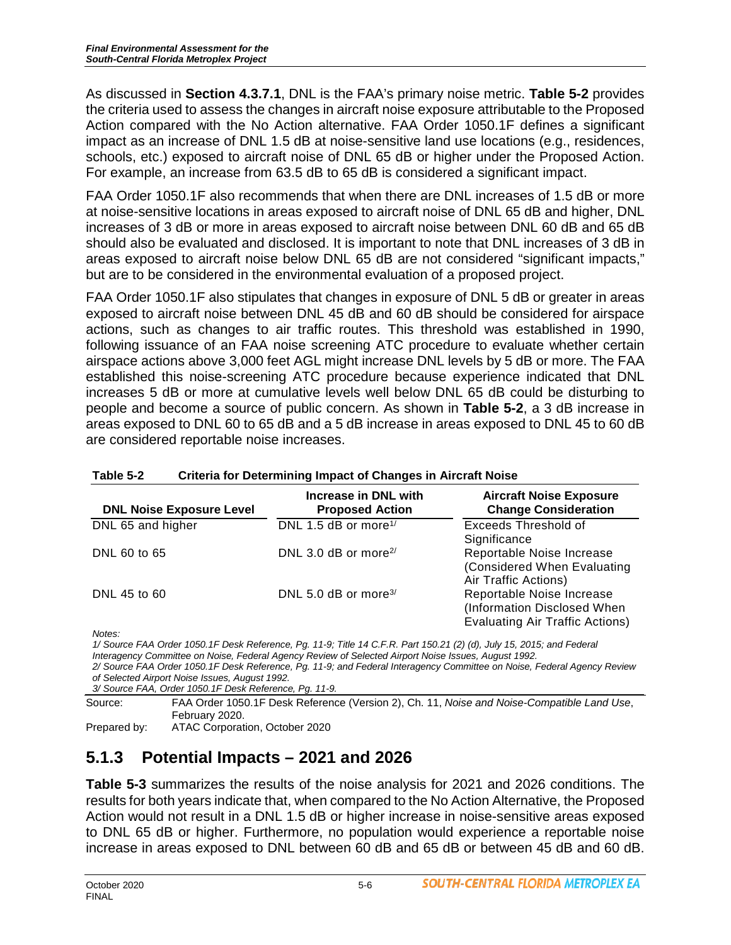As discussed in **Section 4.3.7.1**, DNL is the FAA's primary noise metric. **Table 5-2** provides the criteria used to assess the changes in aircraft noise exposure attributable to the Proposed Action compared with the No Action alternative. FAA Order 1050.1F defines a significant impact as an increase of DNL 1.5 dB at noise-sensitive land use locations (e.g., residences, schools, etc.) exposed to aircraft noise of DNL 65 dB or higher under the Proposed Action. For example, an increase from 63.5 dB to 65 dB is considered a significant impact.

FAA Order 1050.1F also recommends that when there are DNL increases of 1.5 dB or more at noise-sensitive locations in areas exposed to aircraft noise of DNL 65 dB and higher, DNL increases of 3 dB or more in areas exposed to aircraft noise between DNL 60 dB and 65 dB should also be evaluated and disclosed. It is important to note that DNL increases of 3 dB in areas exposed to aircraft noise below DNL 65 dB are not considered "significant impacts," but are to be considered in the environmental evaluation of a proposed project.

FAA Order 1050.1F also stipulates that changes in exposure of DNL 5 dB or greater in areas exposed to aircraft noise between DNL 45 dB and 60 dB should be considered for airspace actions, such as changes to air traffic routes. This threshold was established in 1990, following issuance of an FAA noise screening ATC procedure to evaluate whether certain airspace actions above 3,000 feet AGL might increase DNL levels by 5 dB or more. The FAA established this noise-screening ATC procedure because experience indicated that DNL increases 5 dB or more at cumulative levels well below DNL 65 dB could be disturbing to people and become a source of public concern. As shown in **Table 5-2**, a 3 dB increase in areas exposed to DNL 60 to 65 dB and a 5 dB increase in areas exposed to DNL 45 to 60 dB are considered reportable noise increases.

| <b>DNL Noise Exposure Level</b> | Increase in DNL with<br><b>Proposed Action</b> | <b>Aircraft Noise Exposure</b><br><b>Change Consideration</b>                                      |
|---------------------------------|------------------------------------------------|----------------------------------------------------------------------------------------------------|
| DNL 65 and higher               | DNL 1.5 dB or more <sup>1/</sup>               | <b>Exceeds Threshold of</b><br>Significance                                                        |
| DNL 60 to 65                    | DNL 3.0 dB or more <sup>2/</sup>               | Reportable Noise Increase<br>(Considered When Evaluating<br>Air Traffic Actions)                   |
| DNL 45 to 60                    | DNL 5.0 dB or more <sup>3/</sup>               | Reportable Noise Increase<br>(Information Disclosed When<br><b>Evaluating Air Traffic Actions)</b> |

#### **Table 5-2 Criteria for Determining Impact of Changes in Aircraft Noise**

*Notes:*

*1/ Source FAA Order 1050.1F Desk Reference, Pg. 11-9; Title 14 C.F.R. Part 150.21 (2) (d), July 15, 2015; and Federal Interagency Committee on Noise, Federal Agency Review of Selected Airport Noise Issues, August 1992. 2/ Source FAA Order 1050.1F Desk Reference, Pg. 11-9; and Federal Interagency Committee on Noise, Federal Agency Review* 

*of Selected Airport Noise Issues, August 1992.*

*3/ Source FAA, Order 1050.1F Desk Reference, Pg. 11-9.*

Source: FAA Order 1050.1F Desk Reference (Version 2), Ch. 11, *Noise and Noise-Compatible Land Use*, February 2020.

Prepared by: ATAC Corporation, October 2020

# **5.1.3 Potential Impacts – 2021 and 2026**

**Table 5-3** summarizes the results of the noise analysis for 2021 and 2026 conditions. The results for both years indicate that, when compared to the No Action Alternative, the Proposed Action would not result in a DNL 1.5 dB or higher increase in noise-sensitive areas exposed to DNL 65 dB or higher. Furthermore, no population would experience a reportable noise increase in areas exposed to DNL between 60 dB and 65 dB or between 45 dB and 60 dB.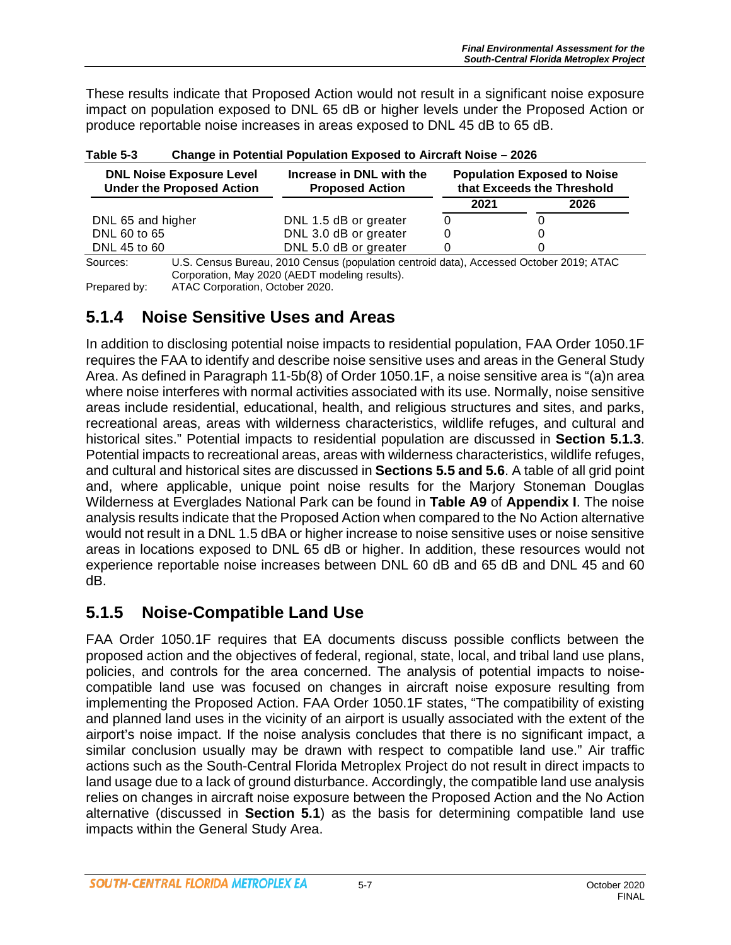These results indicate that Proposed Action would not result in a significant noise exposure impact on population exposed to DNL 65 dB or higher levels under the Proposed Action or produce reportable noise increases in areas exposed to DNL 45 dB to 65 dB.

| <b>DNL Noise Exposure Level</b><br><b>Under the Proposed Action</b> | Increase in DNL with the<br><b>Proposed Action</b> |          | <b>Population Exposed to Noise</b><br>that Exceeds the Threshold |
|---------------------------------------------------------------------|----------------------------------------------------|----------|------------------------------------------------------------------|
|                                                                     |                                                    | 2021     | 2026                                                             |
| DNL 65 and higher                                                   | DNL 1.5 dB or greater                              |          |                                                                  |
| DNL 60 to 65                                                        | DNL 3.0 dB or greater                              |          |                                                                  |
| DNL 45 to 60                                                        | DNL 5.0 dB or greater                              |          |                                                                  |
| $\cdots$ $\sim$<br>$\overline{\phantom{a}}$                         |                                                    | $\cdots$ | $\sim$ $\sim$ $\sim$<br>$\sim$ $\sim$ $\sim$ $\sim$              |

| Table 5-3 | <b>Change in Potential Population Exposed to Aircraft Noise - 2026</b> |
|-----------|------------------------------------------------------------------------|
|           |                                                                        |

Sources: U.S. Census Bureau, 2010 Census (population centroid data), Accessed October 2019; ATAC Corporation, May 2020 (AEDT modeling results). Prepared by: ATAC Corporation, October 2020.

# **5.1.4 Noise Sensitive Uses and Areas**

In addition to disclosing potential noise impacts to residential population, FAA Order 1050.1F requires the FAA to identify and describe noise sensitive uses and areas in the General Study Area. As defined in Paragraph 11-5b(8) of Order 1050.1F, a noise sensitive area is "(a)n area where noise interferes with normal activities associated with its use. Normally, noise sensitive areas include residential, educational, health, and religious structures and sites, and parks, recreational areas, areas with wilderness characteristics, wildlife refuges, and cultural and historical sites." Potential impacts to residential population are discussed in **Section 5.1.3**. Potential impacts to recreational areas, areas with wilderness characteristics, wildlife refuges, and cultural and historical sites are discussed in **Sections 5.5 and 5.6**. A table of all grid point and, where applicable, unique point noise results for the Marjory Stoneman Douglas Wilderness at Everglades National Park can be found in **Table A9** of **Appendix I**. The noise analysis results indicate that the Proposed Action when compared to the No Action alternative would not result in a DNL 1.5 dBA or higher increase to noise sensitive uses or noise sensitive areas in locations exposed to DNL 65 dB or higher. In addition, these resources would not experience reportable noise increases between DNL 60 dB and 65 dB and DNL 45 and 60 dB.

# **5.1.5 Noise-Compatible Land Use**

FAA Order 1050.1F requires that EA documents discuss possible conflicts between the proposed action and the objectives of federal, regional, state, local, and tribal land use plans, policies, and controls for the area concerned. The analysis of potential impacts to noisecompatible land use was focused on changes in aircraft noise exposure resulting from implementing the Proposed Action. FAA Order 1050.1F states, "The compatibility of existing and planned land uses in the vicinity of an airport is usually associated with the extent of the airport's noise impact. If the noise analysis concludes that there is no significant impact, a similar conclusion usually may be drawn with respect to compatible land use." Air traffic actions such as the South-Central Florida Metroplex Project do not result in direct impacts to land usage due to a lack of ground disturbance. Accordingly, the compatible land use analysis relies on changes in aircraft noise exposure between the Proposed Action and the No Action alternative (discussed in **Section 5.1**) as the basis for determining compatible land use impacts within the General Study Area.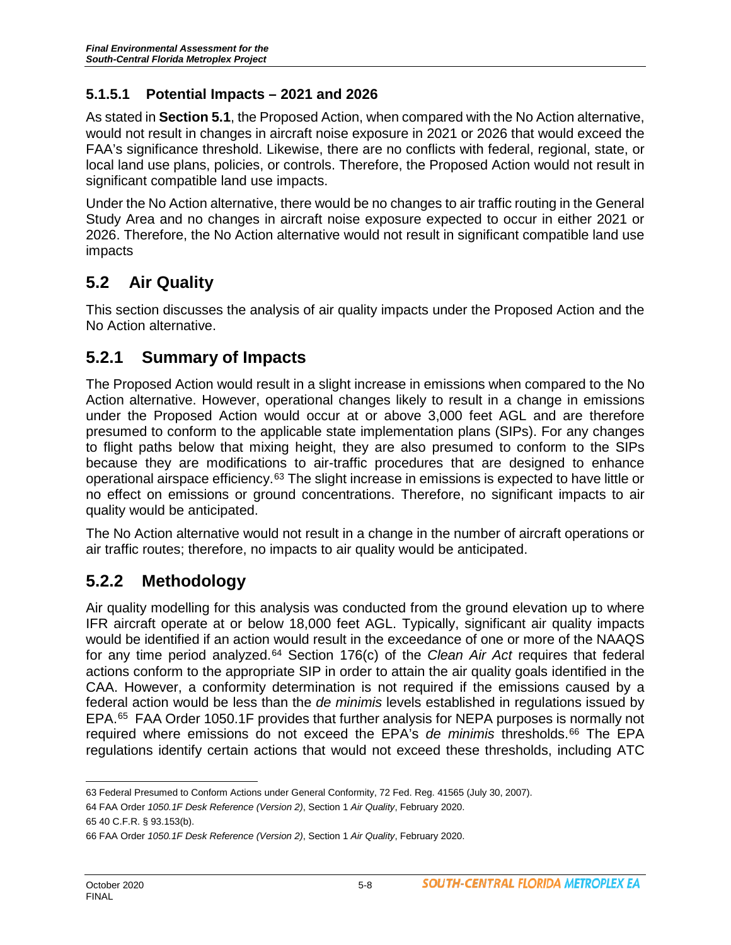#### **5.1.5.1 Potential Impacts – 2021 and 2026**

As stated in **Section 5.1**, the Proposed Action, when compared with the No Action alternative, would not result in changes in aircraft noise exposure in 2021 or 2026 that would exceed the FAA's significance threshold. Likewise, there are no conflicts with federal, regional, state, or local land use plans, policies, or controls. Therefore, the Proposed Action would not result in significant compatible land use impacts.

Under the No Action alternative, there would be no changes to air traffic routing in the General Study Area and no changes in aircraft noise exposure expected to occur in either 2021 or 2026. Therefore, the No Action alternative would not result in significant compatible land use impacts

### **5.2 Air Quality**

This section discusses the analysis of air quality impacts under the Proposed Action and the No Action alternative.

#### **5.2.1 Summary of Impacts**

The Proposed Action would result in a slight increase in emissions when compared to the No Action alternative. However, operational changes likely to result in a change in emissions under the Proposed Action would occur at or above 3,000 feet AGL and are therefore presumed to conform to the applicable state implementation plans (SIPs). For any changes to flight paths below that mixing height, they are also presumed to conform to the SIPs because they are modifications to air-traffic procedures that are designed to enhance operational airspace efficiency.[63](#page-7-0) The slight increase in emissions is expected to have little or no effect on emissions or ground concentrations. Therefore, no significant impacts to air quality would be anticipated.

The No Action alternative would not result in a change in the number of aircraft operations or air traffic routes; therefore, no impacts to air quality would be anticipated.

#### **5.2.2 Methodology**

Air quality modelling for this analysis was conducted from the ground elevation up to where IFR aircraft operate at or below 18,000 feet AGL. Typically, significant air quality impacts would be identified if an action would result in the exceedance of one or more of the NAAQS for any time period analyzed.[64](#page-7-1) Section 176(c) of the *Clean Air Act* requires that federal actions conform to the appropriate SIP in order to attain the air quality goals identified in the CAA. However, a conformity determination is not required if the emissions caused by a federal action would be less than the *de minimis* levels established in regulations issued by EPA.[65](#page-7-2) FAA Order 1050.1F provides that further analysis for NEPA purposes is normally not required where emissions do not exceed the EPA's *de minimis* thresholds.<sup>[66](#page-7-3)</sup> The EPA regulations identify certain actions that would not exceed these thresholds, including ATC

<span id="page-7-1"></span>64 FAA Order *1050.1F Desk Reference (Version 2)*, Section 1 *Air Quality*, February 2020.

<span id="page-7-0"></span> $\overline{a}$ 63 Federal Presumed to Conform Actions under General Conformity, 72 Fed. Reg. 41565 (July 30, 2007).

<span id="page-7-2"></span><sup>65</sup> 40 C.F.R. § 93.153(b).

<span id="page-7-3"></span><sup>66</sup> FAA Order *1050.1F Desk Reference (Version 2)*, Section 1 *Air Quality*, February 2020.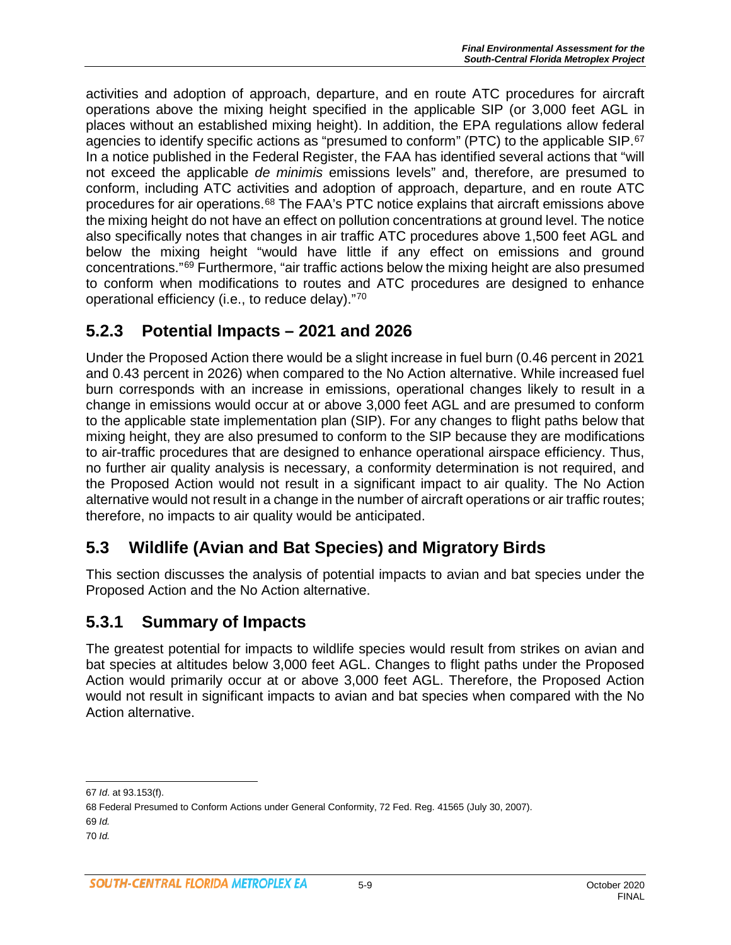activities and adoption of approach, departure, and en route ATC procedures for aircraft operations above the mixing height specified in the applicable SIP (or 3,000 feet AGL in places without an established mixing height). In addition, the EPA regulations allow federal agencies to identify specific actions as "presumed to conform" (PTC) to the applicable SIP.[67](#page-8-0) In a notice published in the Federal Register, the FAA has identified several actions that "will not exceed the applicable *de minimis* emissions levels" and, therefore, are presumed to conform, including ATC activities and adoption of approach, departure, and en route ATC procedures for air operations.[68](#page-8-1) The FAA's PTC notice explains that aircraft emissions above the mixing height do not have an effect on pollution concentrations at ground level. The notice also specifically notes that changes in air traffic ATC procedures above 1,500 feet AGL and below the mixing height "would have little if any effect on emissions and ground concentrations."[69](#page-8-2) Furthermore, "air traffic actions below the mixing height are also presumed to conform when modifications to routes and ATC procedures are designed to enhance operational efficiency (i.e., to reduce delay)."[70](#page-8-3)

# **5.2.3 Potential Impacts – 2021 and 2026**

Under the Proposed Action there would be a slight increase in fuel burn (0.46 percent in 2021 and 0.43 percent in 2026) when compared to the No Action alternative. While increased fuel burn corresponds with an increase in emissions, operational changes likely to result in a change in emissions would occur at or above 3,000 feet AGL and are presumed to conform to the applicable state implementation plan (SIP). For any changes to flight paths below that mixing height, they are also presumed to conform to the SIP because they are modifications to air-traffic procedures that are designed to enhance operational airspace efficiency. Thus, no further air quality analysis is necessary, a conformity determination is not required, and the Proposed Action would not result in a significant impact to air quality. The No Action alternative would not result in a change in the number of aircraft operations or air traffic routes; therefore, no impacts to air quality would be anticipated.

# **5.3 Wildlife (Avian and Bat Species) and Migratory Birds**

This section discusses the analysis of potential impacts to avian and bat species under the Proposed Action and the No Action alternative.

# **5.3.1 Summary of Impacts**

The greatest potential for impacts to wildlife species would result from strikes on avian and bat species at altitudes below 3,000 feet AGL. Changes to flight paths under the Proposed Action would primarily occur at or above 3,000 feet AGL. Therefore, the Proposed Action would not result in significant impacts to avian and bat species when compared with the No Action alternative.

<span id="page-8-0"></span> $\overline{a}$ 67 *Id*. at 93.153(f).

<span id="page-8-3"></span><span id="page-8-2"></span><span id="page-8-1"></span><sup>68</sup> Federal Presumed to Conform Actions under General Conformity, 72 Fed. Reg. 41565 (July 30, 2007). 69 *Id.* 70 *Id.*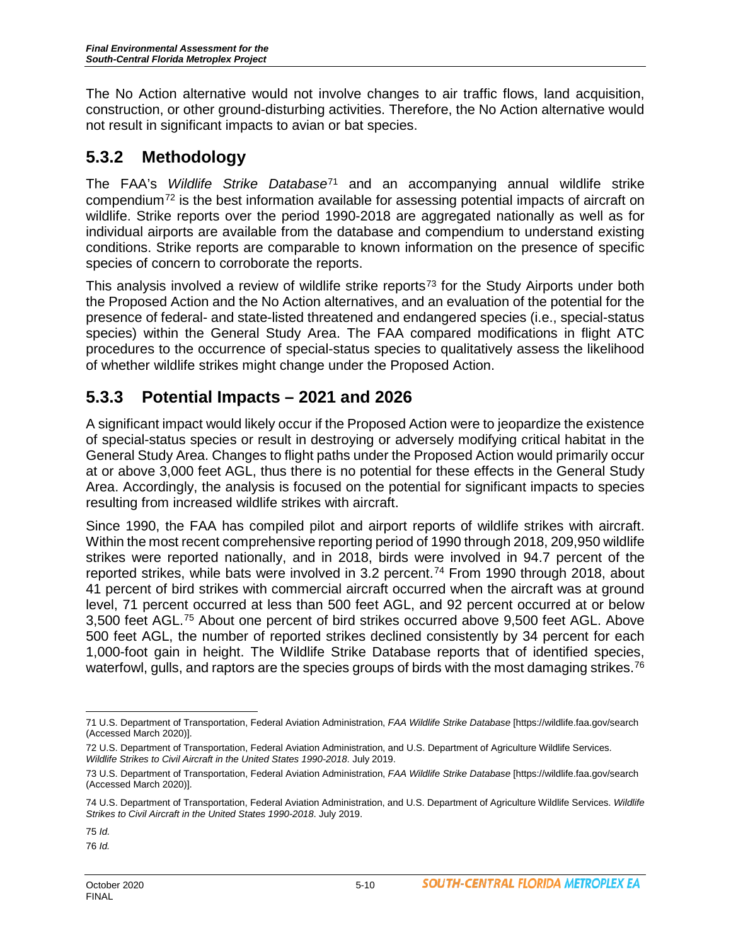The No Action alternative would not involve changes to air traffic flows, land acquisition, construction, or other ground-disturbing activities. Therefore, the No Action alternative would not result in significant impacts to avian or bat species.

# **5.3.2 Methodology**

The FAA's *Wildlife Strike Database*[71](#page-9-0) and an accompanying annual wildlife strike compendium[72](#page-9-1) is the best information available for assessing potential impacts of aircraft on wildlife. Strike reports over the period 1990-2018 are aggregated nationally as well as for individual airports are available from the database and compendium to understand existing conditions. Strike reports are comparable to known information on the presence of specific species of concern to corroborate the reports.

This analysis involved a review of wildlife strike reports<sup>[73](#page-9-2)</sup> for the Study Airports under both the Proposed Action and the No Action alternatives, and an evaluation of the potential for the presence of federal- and state-listed threatened and endangered species (i.e., special-status species) within the General Study Area. The FAA compared modifications in flight ATC procedures to the occurrence of special-status species to qualitatively assess the likelihood of whether wildlife strikes might change under the Proposed Action.

# **5.3.3 Potential Impacts – 2021 and 2026**

A significant impact would likely occur if the Proposed Action were to jeopardize the existence of special-status species or result in destroying or adversely modifying critical habitat in the General Study Area. Changes to flight paths under the Proposed Action would primarily occur at or above 3,000 feet AGL, thus there is no potential for these effects in the General Study Area. Accordingly, the analysis is focused on the potential for significant impacts to species resulting from increased wildlife strikes with aircraft.

Since 1990, the FAA has compiled pilot and airport reports of wildlife strikes with aircraft. Within the most recent comprehensive reporting period of 1990 through 2018, 209,950 wildlife strikes were reported nationally, and in 2018, birds were involved in 94.7 percent of the reported strikes, while bats were involved in 3.2 percent.<sup>[74](#page-9-3)</sup> From 1990 through 2018, about 41 percent of bird strikes with commercial aircraft occurred when the aircraft was at ground level, 71 percent occurred at less than 500 feet AGL, and 92 percent occurred at or below 3,500 feet AGL.[75](#page-9-4) About one percent of bird strikes occurred above 9,500 feet AGL. Above 500 feet AGL, the number of reported strikes declined consistently by 34 percent for each 1,000-foot gain in height. The Wildlife Strike Database reports that of identified species, waterfowl, gulls, and raptors are the species groups of birds with the most damaging strikes.<sup>[76](#page-9-5)</sup>

<span id="page-9-0"></span> $\overline{a}$ 71 U.S. Department of Transportation, Federal Aviation Administration, *FAA Wildlife Strike Database* [https://wildlife.faa.gov/search (Accessed March 2020)].

<span id="page-9-1"></span><sup>72</sup> U.S. Department of Transportation, Federal Aviation Administration, and U.S. Department of Agriculture Wildlife Services. *Wildlife Strikes to Civil Aircraft in the United States 1990-2018*. July 2019.

<span id="page-9-2"></span><sup>73</sup> U.S. Department of Transportation, Federal Aviation Administration, *FAA Wildlife Strike Database* [https://wildlife.faa.gov/search (Accessed March 2020)].

<span id="page-9-3"></span><sup>74</sup> U.S. Department of Transportation, Federal Aviation Administration, and U.S. Department of Agriculture Wildlife Services. *Wildlife Strikes to Civil Aircraft in the United States 1990-2018*. July 2019.

<span id="page-9-4"></span><sup>75</sup> *Id.*

<span id="page-9-5"></span><sup>76</sup> *Id.*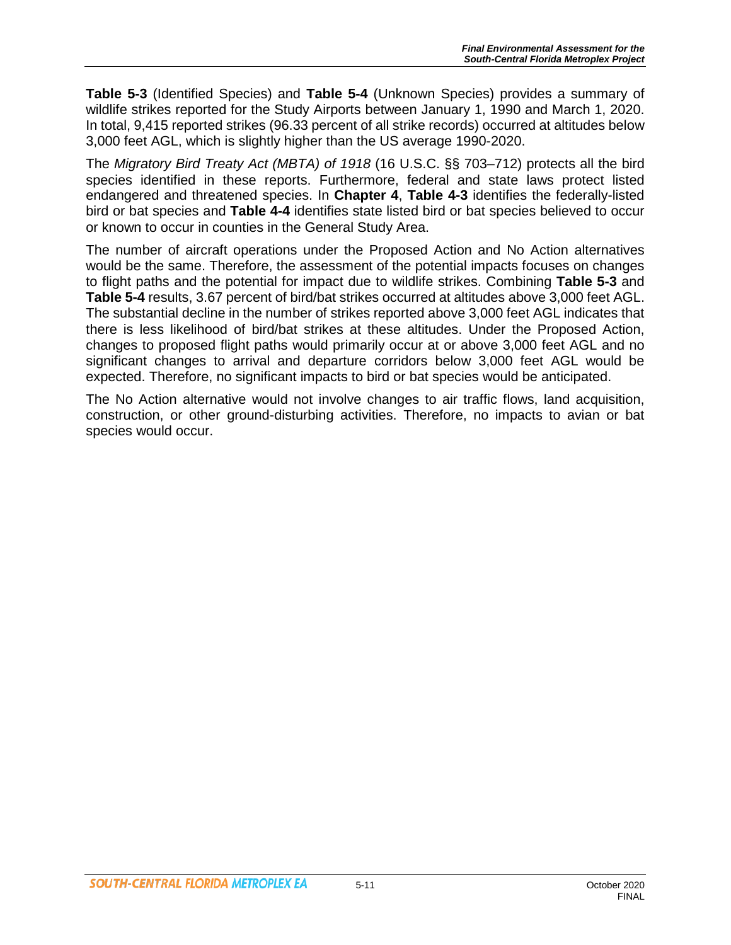**Table 5-3** (Identified Species) and **Table 5-4** (Unknown Species) provides a summary of wildlife strikes reported for the Study Airports between January 1, 1990 and March 1, 2020. In total, 9,415 reported strikes (96.33 percent of all strike records) occurred at altitudes below 3,000 feet AGL, which is slightly higher than the US average 1990-2020.

The *Migratory Bird Treaty Act (MBTA) of 1918* (16 U.S.C. §§ 703–712) protects all the bird species identified in these reports. Furthermore, federal and state laws protect listed endangered and threatened species. In **Chapter 4**, **Table 4-3** identifies the federally-listed bird or bat species and **Table 4-4** identifies state listed bird or bat species believed to occur or known to occur in counties in the General Study Area.

The number of aircraft operations under the Proposed Action and No Action alternatives would be the same. Therefore, the assessment of the potential impacts focuses on changes to flight paths and the potential for impact due to wildlife strikes. Combining **Table 5-3** and **Table 5-4** results, 3.67 percent of bird/bat strikes occurred at altitudes above 3,000 feet AGL. The substantial decline in the number of strikes reported above 3,000 feet AGL indicates that there is less likelihood of bird/bat strikes at these altitudes. Under the Proposed Action, changes to proposed flight paths would primarily occur at or above 3,000 feet AGL and no significant changes to arrival and departure corridors below 3,000 feet AGL would be expected. Therefore, no significant impacts to bird or bat species would be anticipated.

The No Action alternative would not involve changes to air traffic flows, land acquisition, construction, or other ground-disturbing activities. Therefore, no impacts to avian or bat species would occur.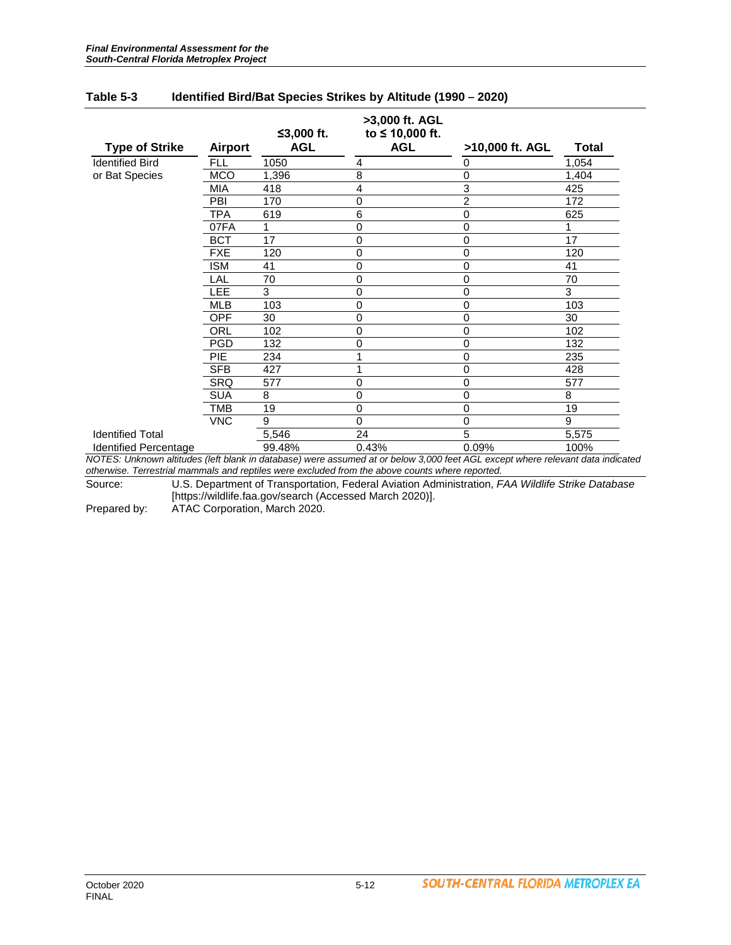|                                     |                |            | >3,000 ft. AGL  |                 |              |
|-------------------------------------|----------------|------------|-----------------|-----------------|--------------|
|                                     |                | ≤3,000 ft. | to ≤ 10,000 ft. |                 |              |
| <b>Type of Strike</b>               | <b>Airport</b> | <b>AGL</b> | <b>AGL</b>      | >10,000 ft. AGL | <b>Total</b> |
| <b>Identified Bird</b>              | FLL            | 1050       | 4               | 0               | 1,054        |
| or Bat Species                      | <b>MCO</b>     | 1,396      | 8               | 0               | 1,404        |
|                                     | MIA            | 418        | 4               | 3               | 425          |
|                                     | PBI            | 170        | $\mathbf 0$     | $\overline{2}$  | 172          |
|                                     | TPA            | 619        | 6               | 0               | 625          |
|                                     | 07FA           | 1          | $\Omega$        | $\mathbf 0$     |              |
|                                     | <b>BCT</b>     | 17         | 0               | 0               | 17           |
|                                     | <b>FXE</b>     | 120        | $\Omega$        | 0               | 120          |
|                                     | <b>ISM</b>     | 41         | $\Omega$        | 0               | 41           |
|                                     | LAL            | 70         | $\mathbf 0$     | 0               | 70           |
|                                     | LEE            | 3          | 0               | 0               | 3            |
|                                     | <b>MLB</b>     | 103        | $\mathbf 0$     | 0               | 103          |
|                                     | OPF            | 30         | $\mathbf 0$     | 0               | 30           |
|                                     | ORL            | 102        | $\Omega$        | 0               | 102          |
|                                     | <b>PGD</b>     | 132        | $\mathbf 0$     | 0               | 132          |
|                                     | <b>PIE</b>     | 234        |                 | 0               | 235          |
|                                     | <b>SFB</b>     | 427        |                 | 0               | 428          |
|                                     | <b>SRQ</b>     | 577        | 0               | 0               | 577          |
|                                     | <b>SUA</b>     | 8          | $\mathbf 0$     | 0               | 8            |
|                                     | TMB            | 19         | 0               | 0               | 19           |
|                                     | <b>VNC</b>     | 9          | $\Omega$        | $\mathbf 0$     | 9            |
| <b>Identified Total</b>             |                | 5,546      | 24              | 5               | 5,575        |
| <b>Identified Percentage</b><br>--- |                | 99.48%     | 0.43%           | 0.09%           | 100%         |

#### **Table 5-3 Identified Bird/Bat Species Strikes by Altitude (1990 – 2020)**

*NOTES: Unknown altitudes (left blank in database) were assumed at or below 3,000 feet AGL except where relevant data indicated otherwise. Terrestrial mammals and reptiles were excluded from the above counts where reported.*

Source: U.S. Department of Transportation, Federal Aviation Administration, *FAA Wildlife Strike Database* [https://wildlife.faa.gov/search (Accessed March 2020)].

Prepared by: ATAC Corporation, March 2020.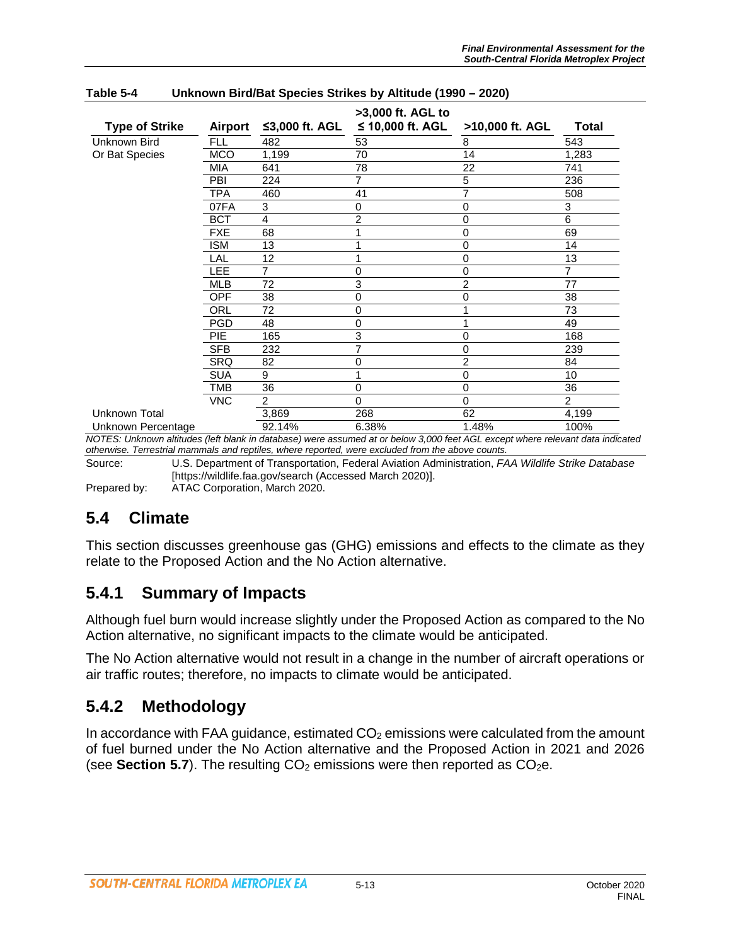| <b>Type of Strike</b> | <b>Airport</b> | ≤3,000 ft. AGL | >3,000 ft. AGL to<br>≤ 10,000 ft. AGL | >10,000 ft. AGL | <b>Total</b>   |
|-----------------------|----------------|----------------|---------------------------------------|-----------------|----------------|
| Unknown Bird          | <b>FLL</b>     | 482            | 53                                    | 8               | 543            |
| Or Bat Species        | <b>MCO</b>     | 1,199          | 70                                    | 14              | 1,283          |
|                       | MIA            | 641            | 78                                    | 22              | 741            |
|                       | PBI            | 224            | 7                                     | 5               | 236            |
|                       | TPA            | 460            | 41                                    | 7               | 508            |
|                       | 07FA           | 3              | 0                                     | $\mathbf 0$     | 3              |
|                       | <b>BCT</b>     | 4              | 2                                     | $\mathbf 0$     | 6              |
|                       | <b>FXE</b>     | 68             |                                       | $\mathbf 0$     | 69             |
|                       | <b>ISM</b>     | 13             | 1                                     | $\mathbf 0$     | 14             |
|                       | LAL            | 12             | 1                                     | $\mathbf 0$     | 13             |
|                       | LEE            | 7              | 0                                     | $\mathbf 0$     | 7              |
|                       | <b>MLB</b>     | 72             | 3                                     | $\overline{c}$  | 77             |
|                       | <b>OPF</b>     | 38             | 0                                     | $\mathbf 0$     | 38             |
|                       | ORL            | 72             | 0                                     | 1               | 73             |
|                       | <b>PGD</b>     | 48             | 0                                     | 1               | 49             |
|                       | <b>PIE</b>     | 165            | 3                                     | 0               | 168            |
|                       | <b>SFB</b>     | 232            | 7                                     | 0               | 239            |
|                       | SRQ            | 82             | 0                                     | $\overline{2}$  | 84             |
|                       | <b>SUA</b>     | 9              |                                       | 0               | 10             |
|                       | TMB            | 36             | 0                                     | $\mathbf 0$     | 36             |
|                       | <b>VNC</b>     | $\overline{2}$ | 0                                     | $\Omega$        | $\overline{2}$ |
| Unknown Total         |                | 3,869          | 268                                   | 62              | 4,199          |
| Unknown Percentage    |                | 92.14%         | 6.38%                                 | 1.48%           | 100%           |

#### **Table 5-4 Unknown Bird/Bat Species Strikes by Altitude (1990 – 2020)**

*NOTES: Unknown altitudes (left blank in database) were assumed at or below 3,000 feet AGL except where relevant data indicated otherwise. Terrestrial mammals and reptiles, where reported, were excluded from the above counts.*

Source: U.S. Department of Transportation, Federal Aviation Administration, *FAA Wildlife Strike Database* [https://wildlife.faa.gov/search (Accessed March 2020)].

Prepared by: ATAC Corporation, March 2020.

#### **5.4 Climate**

This section discusses greenhouse gas (GHG) emissions and effects to the climate as they relate to the Proposed Action and the No Action alternative.

#### **5.4.1 Summary of Impacts**

Although fuel burn would increase slightly under the Proposed Action as compared to the No Action alternative, no significant impacts to the climate would be anticipated.

The No Action alternative would not result in a change in the number of aircraft operations or air traffic routes; therefore, no impacts to climate would be anticipated.

#### **5.4.2 Methodology**

In accordance with FAA guidance, estimated  $CO<sub>2</sub>$  emissions were calculated from the amount of fuel burned under the No Action alternative and the Proposed Action in 2021 and 2026 (see **Section 5.7**). The resulting  $CO<sub>2</sub>$  emissions were then reported as  $CO<sub>2</sub>e$ .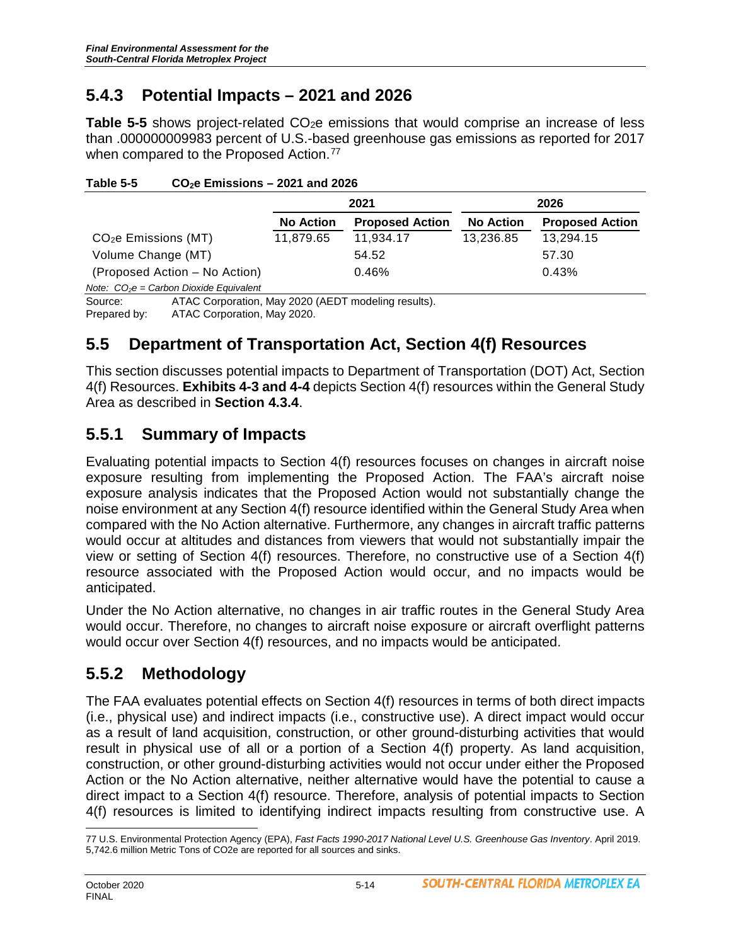# **5.4.3 Potential Impacts – 2021 and 2026**

**Table 5-5** shows project-related CO<sub>2</sub>e emissions that would comprise an increase of less than .000000009983 percent of U.S.-based greenhouse gas emissions as reported for 2017 when compared to the Proposed Action.<sup>[77](#page-13-0)</sup>

|                                  |                                                     | 2021             |                        |                  | 2026                   |  |  |
|----------------------------------|-----------------------------------------------------|------------------|------------------------|------------------|------------------------|--|--|
|                                  |                                                     | <b>No Action</b> | <b>Proposed Action</b> | <b>No Action</b> | <b>Proposed Action</b> |  |  |
| CO <sub>2</sub> e Emissions (MT) |                                                     | 11,879.65        | 11,934.17              | 13,236.85        | 13,294.15              |  |  |
| Volume Change (MT)               |                                                     |                  | 54.52                  |                  | 57.30                  |  |  |
|                                  | (Proposed Action – No Action)                       |                  | 0.46%                  |                  | 0.43%                  |  |  |
|                                  | Note: $CO2e = Carbon Divide Equivalent$             |                  |                        |                  |                        |  |  |
| Source:                          | ATAC Corporation, May 2020 (AEDT modeling results). |                  |                        |                  |                        |  |  |
| Prepared by:                     | ATAC Corporation, May 2020.                         |                  |                        |                  |                        |  |  |

**Table 5-5 CO2e Emissions – 2021 and 2026**

# **5.5 Department of Transportation Act, Section 4(f) Resources**

This section discusses potential impacts to Department of Transportation (DOT) Act, Section 4(f) Resources. **Exhibits 4-3 and 4-4** depicts Section 4(f) resources within the General Study Area as described in **Section 4.3.4**.

# **5.5.1 Summary of Impacts**

Evaluating potential impacts to Section 4(f) resources focuses on changes in aircraft noise exposure resulting from implementing the Proposed Action. The FAA's aircraft noise exposure analysis indicates that the Proposed Action would not substantially change the noise environment at any Section 4(f) resource identified within the General Study Area when compared with the No Action alternative. Furthermore, any changes in aircraft traffic patterns would occur at altitudes and distances from viewers that would not substantially impair the view or setting of Section 4(f) resources. Therefore, no constructive use of a Section 4(f) resource associated with the Proposed Action would occur, and no impacts would be anticipated.

Under the No Action alternative, no changes in air traffic routes in the General Study Area would occur. Therefore, no changes to aircraft noise exposure or aircraft overflight patterns would occur over Section 4(f) resources, and no impacts would be anticipated.

# **5.5.2 Methodology**

The FAA evaluates potential effects on Section 4(f) resources in terms of both direct impacts (i.e., physical use) and indirect impacts (i.e., constructive use). A direct impact would occur as a result of land acquisition, construction, or other ground-disturbing activities that would result in physical use of all or a portion of a Section 4(f) property. As land acquisition, construction, or other ground-disturbing activities would not occur under either the Proposed Action or the No Action alternative, neither alternative would have the potential to cause a direct impact to a Section 4(f) resource. Therefore, analysis of potential impacts to Section 4(f) resources is limited to identifying indirect impacts resulting from constructive use. A

<span id="page-13-0"></span> $\overline{a}$ 77 U.S. Environmental Protection Agency (EPA), *Fast Facts 1990-2017 National Level U.S. Greenhouse Gas Inventory*. April 2019. 5,742.6 million Metric Tons of CO2e are reported for all sources and sinks.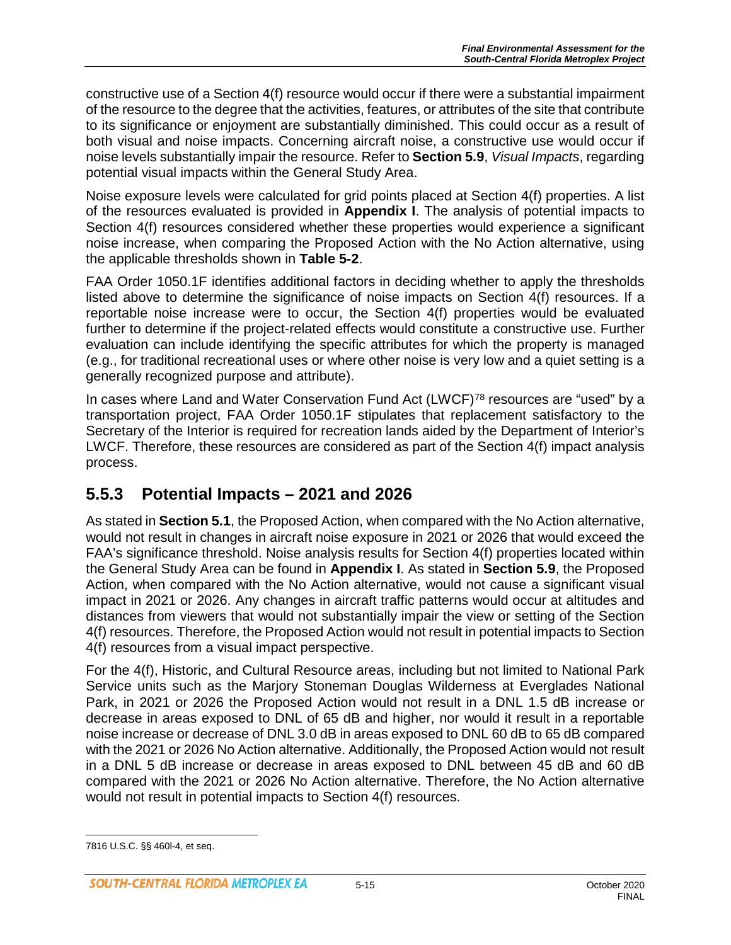constructive use of a Section 4(f) resource would occur if there were a substantial impairment of the resource to the degree that the activities, features, or attributes of the site that contribute to its significance or enjoyment are substantially diminished. This could occur as a result of both visual and noise impacts. Concerning aircraft noise, a constructive use would occur if noise levels substantially impair the resource. Refer to **Section 5.9**, *Visual Impacts*, regarding potential visual impacts within the General Study Area.

Noise exposure levels were calculated for grid points placed at Section 4(f) properties. A list of the resources evaluated is provided in **Appendix I**. The analysis of potential impacts to Section 4(f) resources considered whether these properties would experience a significant noise increase, when comparing the Proposed Action with the No Action alternative, using the applicable thresholds shown in **Table 5-2**.

FAA Order 1050.1F identifies additional factors in deciding whether to apply the thresholds listed above to determine the significance of noise impacts on Section 4(f) resources. If a reportable noise increase were to occur, the Section 4(f) properties would be evaluated further to determine if the project-related effects would constitute a constructive use. Further evaluation can include identifying the specific attributes for which the property is managed (e.g., for traditional recreational uses or where other noise is very low and a quiet setting is a generally recognized purpose and attribute).

In cases where Land and Water Conservation Fund Act (LWCF)<sup>[78](#page-14-0)</sup> resources are "used" by a transportation project, FAA Order 1050.1F stipulates that replacement satisfactory to the Secretary of the Interior is required for recreation lands aided by the Department of Interior's LWCF. Therefore, these resources are considered as part of the Section 4(f) impact analysis process.

# **5.5.3 Potential Impacts – 2021 and 2026**

As stated in **Section 5.1**, the Proposed Action, when compared with the No Action alternative, would not result in changes in aircraft noise exposure in 2021 or 2026 that would exceed the FAA's significance threshold. Noise analysis results for Section 4(f) properties located within the General Study Area can be found in **Appendix I**. As stated in **Section 5.9**, the Proposed Action, when compared with the No Action alternative, would not cause a significant visual impact in 2021 or 2026. Any changes in aircraft traffic patterns would occur at altitudes and distances from viewers that would not substantially impair the view or setting of the Section 4(f) resources. Therefore, the Proposed Action would not result in potential impacts to Section 4(f) resources from a visual impact perspective.

For the 4(f), Historic, and Cultural Resource areas, including but not limited to National Park Service units such as the Marjory Stoneman Douglas Wilderness at Everglades National Park, in 2021 or 2026 the Proposed Action would not result in a DNL 1.5 dB increase or decrease in areas exposed to DNL of 65 dB and higher, nor would it result in a reportable noise increase or decrease of DNL 3.0 dB in areas exposed to DNL 60 dB to 65 dB compared with the 2021 or 2026 No Action alternative. Additionally, the Proposed Action would not result in a DNL 5 dB increase or decrease in areas exposed to DNL between 45 dB and 60 dB compared with the 2021 or 2026 No Action alternative. Therefore, the No Action alternative would not result in potential impacts to Section 4(f) resources.

<span id="page-14-0"></span> $\overline{a}$ 7816 U.S.C. §§ 460l-4, et seq.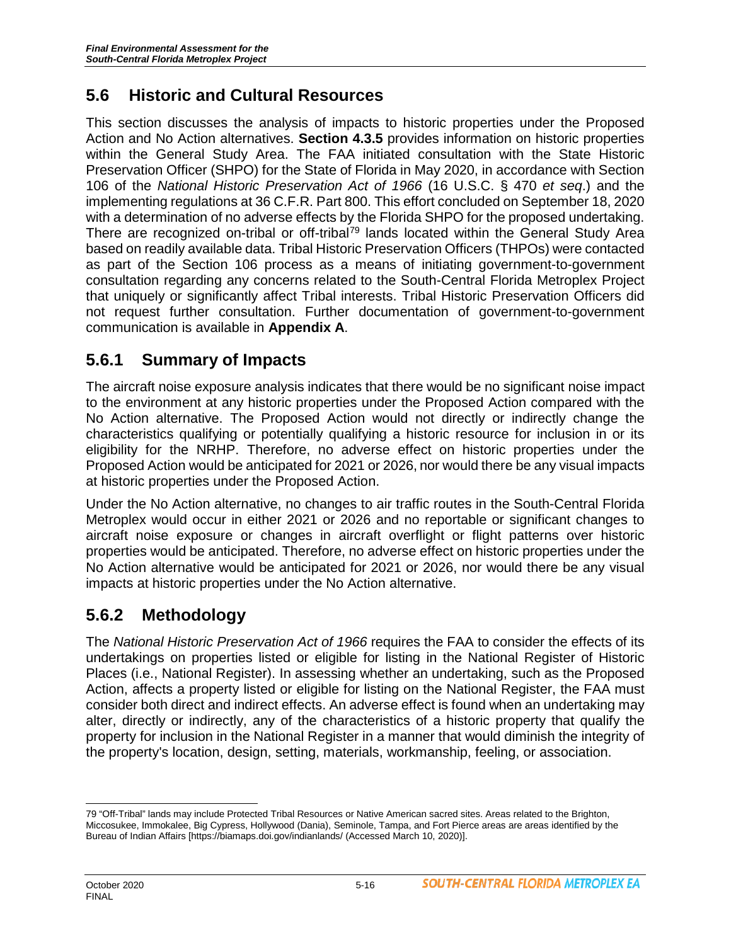# **5.6 Historic and Cultural Resources**

This section discusses the analysis of impacts to historic properties under the Proposed Action and No Action alternatives. **Section 4.3.5** provides information on historic properties within the General Study Area. The FAA initiated consultation with the State Historic Preservation Officer (SHPO) for the State of Florida in May 2020, in accordance with Section 106 of the *National Historic Preservation Act of 1966* (16 U.S.C. § 470 *et seq*.) and the implementing regulations at 36 C.F.R. Part 800. This effort concluded on September 18, 2020 with a determination of no adverse effects by the Florida SHPO for the proposed undertaking. There are recognized on-tribal or off-tribal<sup>[79](#page-15-0)</sup> lands located within the General Study Area based on readily available data. Tribal Historic Preservation Officers (THPOs) were contacted as part of the Section 106 process as a means of initiating government-to-government consultation regarding any concerns related to the South-Central Florida Metroplex Project that uniquely or significantly affect Tribal interests. Tribal Historic Preservation Officers did not request further consultation. Further documentation of government-to-government communication is available in **Appendix A**.

# **5.6.1 Summary of Impacts**

The aircraft noise exposure analysis indicates that there would be no significant noise impact to the environment at any historic properties under the Proposed Action compared with the No Action alternative. The Proposed Action would not directly or indirectly change the characteristics qualifying or potentially qualifying a historic resource for inclusion in or its eligibility for the NRHP. Therefore, no adverse effect on historic properties under the Proposed Action would be anticipated for 2021 or 2026, nor would there be any visual impacts at historic properties under the Proposed Action.

Under the No Action alternative, no changes to air traffic routes in the South-Central Florida Metroplex would occur in either 2021 or 2026 and no reportable or significant changes to aircraft noise exposure or changes in aircraft overflight or flight patterns over historic properties would be anticipated. Therefore, no adverse effect on historic properties under the No Action alternative would be anticipated for 2021 or 2026, nor would there be any visual impacts at historic properties under the No Action alternative.

# **5.6.2 Methodology**

The *National Historic Preservation Act of 1966* requires the FAA to consider the effects of its undertakings on properties listed or eligible for listing in the National Register of Historic Places (i.e., National Register). In assessing whether an undertaking, such as the Proposed Action, affects a property listed or eligible for listing on the National Register, the FAA must consider both direct and indirect effects. An adverse effect is found when an undertaking may alter, directly or indirectly, any of the characteristics of a historic property that qualify the property for inclusion in the National Register in a manner that would diminish the integrity of the property's location, design, setting, materials, workmanship, feeling, or association.

<span id="page-15-0"></span> $\overline{a}$ 79 "Off-Tribal" lands may include Protected Tribal Resources or Native American sacred sites. Areas related to the Brighton, Miccosukee, Immokalee, Big Cypress, Hollywood (Dania), Seminole, Tampa, and Fort Pierce areas are areas identified by the Bureau of Indian Affairs [https://biamaps.doi.gov/indianlands/ (Accessed March 10, 2020)].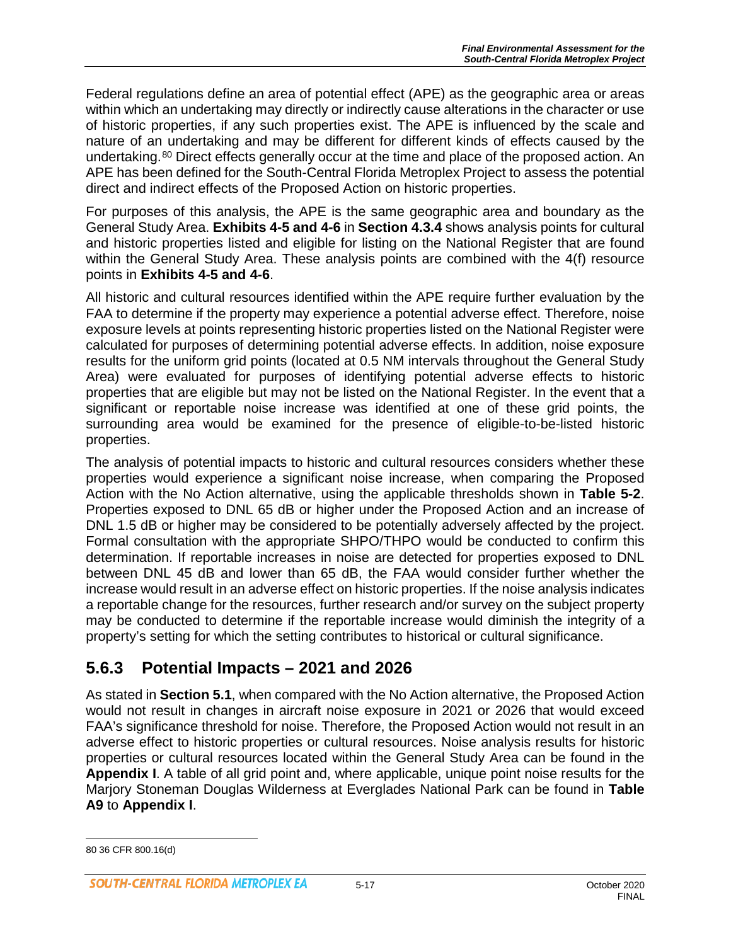Federal regulations define an area of potential effect (APE) as the geographic area or areas within which an undertaking may directly or indirectly cause alterations in the character or use of historic properties, if any such properties exist. The APE is influenced by the scale and nature of an undertaking and may be different for different kinds of effects caused by the undertaking.<sup>[80](#page-16-0)</sup> Direct effects generally occur at the time and place of the proposed action. An APE has been defined for the South-Central Florida Metroplex Project to assess the potential direct and indirect effects of the Proposed Action on historic properties.

For purposes of this analysis, the APE is the same geographic area and boundary as the General Study Area. **Exhibits 4-5 and 4-6** in **Section 4.3.4** shows analysis points for cultural and historic properties listed and eligible for listing on the National Register that are found within the General Study Area. These analysis points are combined with the 4(f) resource points in **Exhibits 4-5 and 4-6**.

All historic and cultural resources identified within the APE require further evaluation by the FAA to determine if the property may experience a potential adverse effect. Therefore, noise exposure levels at points representing historic properties listed on the National Register were calculated for purposes of determining potential adverse effects. In addition, noise exposure results for the uniform grid points (located at 0.5 NM intervals throughout the General Study Area) were evaluated for purposes of identifying potential adverse effects to historic properties that are eligible but may not be listed on the National Register. In the event that a significant or reportable noise increase was identified at one of these grid points, the surrounding area would be examined for the presence of eligible-to-be-listed historic properties.

The analysis of potential impacts to historic and cultural resources considers whether these properties would experience a significant noise increase, when comparing the Proposed Action with the No Action alternative, using the applicable thresholds shown in **Table 5-2**. Properties exposed to DNL 65 dB or higher under the Proposed Action and an increase of DNL 1.5 dB or higher may be considered to be potentially adversely affected by the project. Formal consultation with the appropriate SHPO/THPO would be conducted to confirm this determination. If reportable increases in noise are detected for properties exposed to DNL between DNL 45 dB and lower than 65 dB, the FAA would consider further whether the increase would result in an adverse effect on historic properties. If the noise analysis indicates a reportable change for the resources, further research and/or survey on the subject property may be conducted to determine if the reportable increase would diminish the integrity of a property's setting for which the setting contributes to historical or cultural significance.

# **5.6.3 Potential Impacts – 2021 and 2026**

As stated in **Section 5.1**, when compared with the No Action alternative, the Proposed Action would not result in changes in aircraft noise exposure in 2021 or 2026 that would exceed FAA's significance threshold for noise. Therefore, the Proposed Action would not result in an adverse effect to historic properties or cultural resources. Noise analysis results for historic properties or cultural resources located within the General Study Area can be found in the **Appendix I**. A table of all grid point and, where applicable, unique point noise results for the Marjory Stoneman Douglas Wilderness at Everglades National Park can be found in **Table A9** to **Appendix I**.

 $\overline{a}$ 

<span id="page-16-0"></span><sup>80</sup> 36 CFR 800.16(d)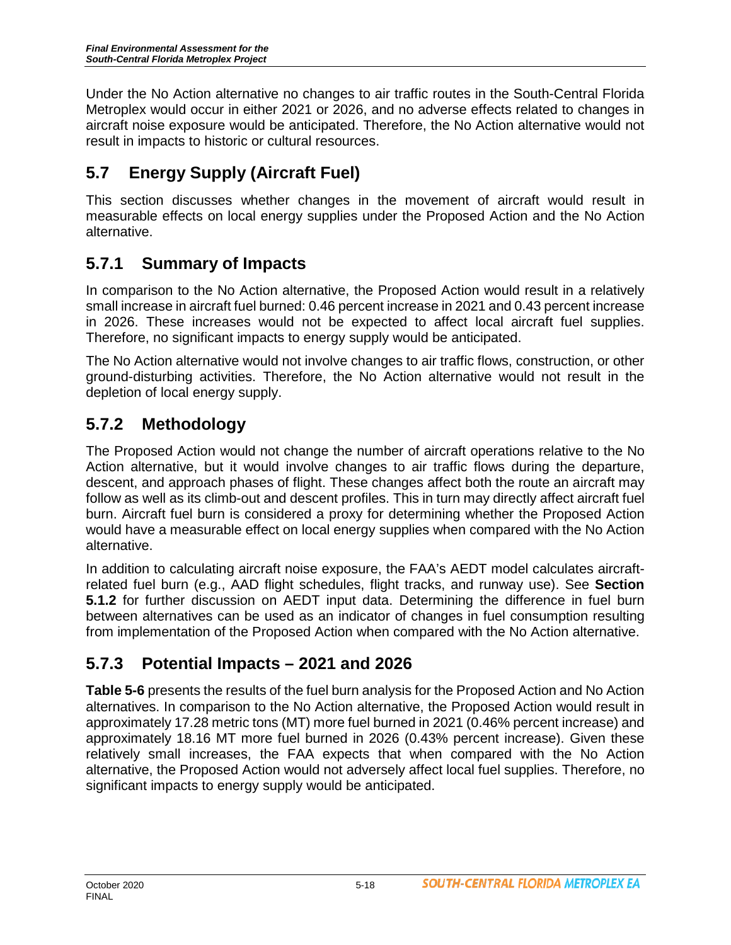Under the No Action alternative no changes to air traffic routes in the South-Central Florida Metroplex would occur in either 2021 or 2026, and no adverse effects related to changes in aircraft noise exposure would be anticipated. Therefore, the No Action alternative would not result in impacts to historic or cultural resources.

# **5.7 Energy Supply (Aircraft Fuel)**

This section discusses whether changes in the movement of aircraft would result in measurable effects on local energy supplies under the Proposed Action and the No Action alternative.

# **5.7.1 Summary of Impacts**

In comparison to the No Action alternative, the Proposed Action would result in a relatively small increase in aircraft fuel burned: 0.46 percent increase in 2021 and 0.43 percent increase in 2026. These increases would not be expected to affect local aircraft fuel supplies. Therefore, no significant impacts to energy supply would be anticipated.

The No Action alternative would not involve changes to air traffic flows, construction, or other ground-disturbing activities. Therefore, the No Action alternative would not result in the depletion of local energy supply.

# **5.7.2 Methodology**

The Proposed Action would not change the number of aircraft operations relative to the No Action alternative, but it would involve changes to air traffic flows during the departure, descent, and approach phases of flight. These changes affect both the route an aircraft may follow as well as its climb-out and descent profiles. This in turn may directly affect aircraft fuel burn. Aircraft fuel burn is considered a proxy for determining whether the Proposed Action would have a measurable effect on local energy supplies when compared with the No Action alternative.

In addition to calculating aircraft noise exposure, the FAA's AEDT model calculates aircraftrelated fuel burn (e.g., AAD flight schedules, flight tracks, and runway use). See **Section 5.1.2** for further discussion on AEDT input data. Determining the difference in fuel burn between alternatives can be used as an indicator of changes in fuel consumption resulting from implementation of the Proposed Action when compared with the No Action alternative.

# **5.7.3 Potential Impacts – 2021 and 2026**

**Table 5-6** presents the results of the fuel burn analysis for the Proposed Action and No Action alternatives. In comparison to the No Action alternative, the Proposed Action would result in approximately 17.28 metric tons (MT) more fuel burned in 2021 (0.46% percent increase) and approximately 18.16 MT more fuel burned in 2026 (0.43% percent increase). Given these relatively small increases, the FAA expects that when compared with the No Action alternative, the Proposed Action would not adversely affect local fuel supplies. Therefore, no significant impacts to energy supply would be anticipated.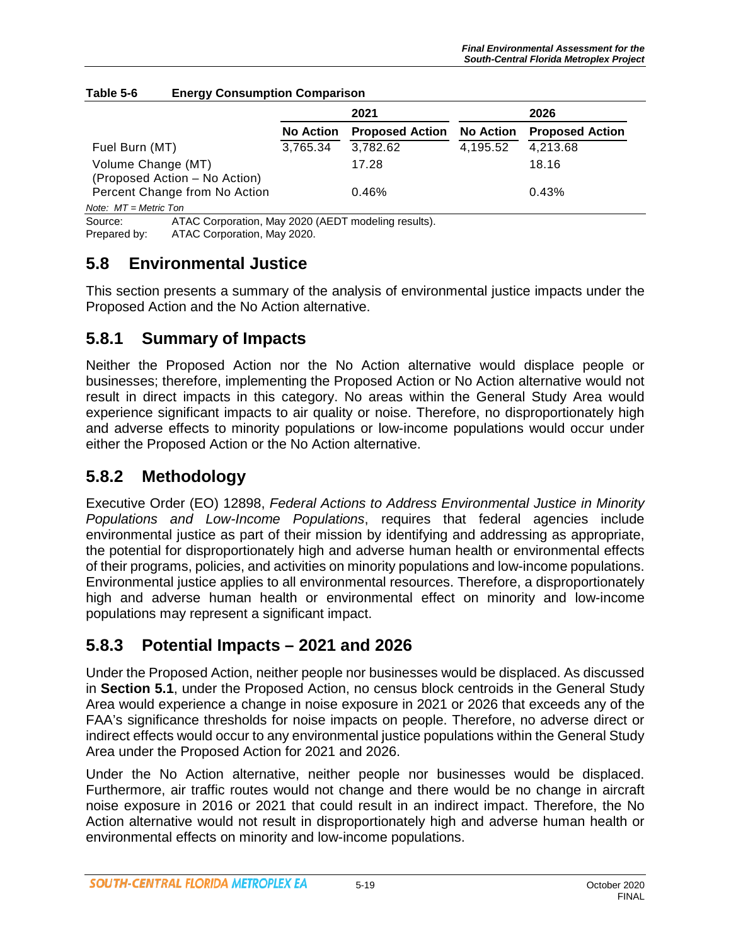|                               | 2021             |                        | 2026             |                        |
|-------------------------------|------------------|------------------------|------------------|------------------------|
|                               | <b>No Action</b> | <b>Proposed Action</b> | <b>No Action</b> | <b>Proposed Action</b> |
| Fuel Burn (MT)                | 3,765.34         | 3,782.62               | 4,195.52         | 4,213.68               |
| Volume Change (MT)            |                  | 17.28                  |                  | 18.16                  |
| (Proposed Action – No Action) |                  |                        |                  |                        |
| Percent Change from No Action |                  | 0.46%                  |                  | 0.43%                  |
| Note: $MT = Metric$ Ton       |                  |                        |                  |                        |

#### **Table 5-6 Energy Consumption Comparison**

Source: ATAC Corporation, May 2020 (AEDT modeling results).<br>Prepared by: ATAC Corporation. May 2020. ATAC Corporation, May 2020.

# **5.8 Environmental Justice**

This section presents a summary of the analysis of environmental justice impacts under the Proposed Action and the No Action alternative.

### **5.8.1 Summary of Impacts**

Neither the Proposed Action nor the No Action alternative would displace people or businesses; therefore, implementing the Proposed Action or No Action alternative would not result in direct impacts in this category. No areas within the General Study Area would experience significant impacts to air quality or noise. Therefore, no disproportionately high and adverse effects to minority populations or low-income populations would occur under either the Proposed Action or the No Action alternative.

### **5.8.2 Methodology**

Executive Order (EO) 12898, *Federal Actions to Address Environmental Justice in Minority Populations and Low-Income Populations*, requires that federal agencies include environmental justice as part of their mission by identifying and addressing as appropriate, the potential for disproportionately high and adverse human health or environmental effects of their programs, policies, and activities on minority populations and low-income populations. Environmental justice applies to all environmental resources. Therefore, a disproportionately high and adverse human health or environmental effect on minority and low-income populations may represent a significant impact.

# **5.8.3 Potential Impacts – 2021 and 2026**

Under the Proposed Action, neither people nor businesses would be displaced. As discussed in **Section 5.1**, under the Proposed Action, no census block centroids in the General Study Area would experience a change in noise exposure in 2021 or 2026 that exceeds any of the FAA's significance thresholds for noise impacts on people. Therefore, no adverse direct or indirect effects would occur to any environmental justice populations within the General Study Area under the Proposed Action for 2021 and 2026.

Under the No Action alternative, neither people nor businesses would be displaced. Furthermore, air traffic routes would not change and there would be no change in aircraft noise exposure in 2016 or 2021 that could result in an indirect impact. Therefore, the No Action alternative would not result in disproportionately high and adverse human health or environmental effects on minority and low-income populations.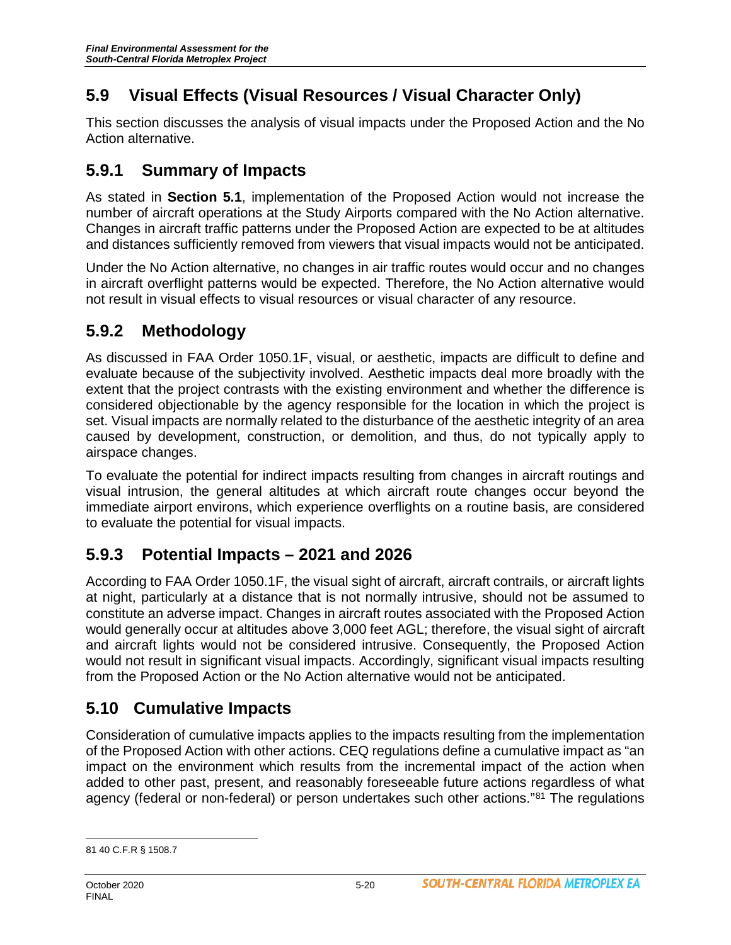# **5.9 Visual Effects (Visual Resources / Visual Character Only)**

This section discusses the analysis of visual impacts under the Proposed Action and the No Action alternative.

#### **5.9.1 Summary of Impacts**

As stated in **Section 5.1**, implementation of the Proposed Action would not increase the number of aircraft operations at the Study Airports compared with the No Action alternative. Changes in aircraft traffic patterns under the Proposed Action are expected to be at altitudes and distances sufficiently removed from viewers that visual impacts would not be anticipated.

Under the No Action alternative, no changes in air traffic routes would occur and no changes in aircraft overflight patterns would be expected. Therefore, the No Action alternative would not result in visual effects to visual resources or visual character of any resource.

# **5.9.2 Methodology**

As discussed in FAA Order 1050.1F, visual, or aesthetic, impacts are difficult to define and evaluate because of the subjectivity involved. Aesthetic impacts deal more broadly with the extent that the project contrasts with the existing environment and whether the difference is considered objectionable by the agency responsible for the location in which the project is set. Visual impacts are normally related to the disturbance of the aesthetic integrity of an area caused by development, construction, or demolition, and thus, do not typically apply to airspace changes.

To evaluate the potential for indirect impacts resulting from changes in aircraft routings and visual intrusion, the general altitudes at which aircraft route changes occur beyond the immediate airport environs, which experience overflights on a routine basis, are considered to evaluate the potential for visual impacts.

# **5.9.3 Potential Impacts – 2021 and 2026**

According to FAA Order 1050.1F, the visual sight of aircraft, aircraft contrails, or aircraft lights at night, particularly at a distance that is not normally intrusive, should not be assumed to constitute an adverse impact. Changes in aircraft routes associated with the Proposed Action would generally occur at altitudes above 3,000 feet AGL; therefore, the visual sight of aircraft and aircraft lights would not be considered intrusive. Consequently, the Proposed Action would not result in significant visual impacts. Accordingly, significant visual impacts resulting from the Proposed Action or the No Action alternative would not be anticipated.

# **5.10 Cumulative Impacts**

Consideration of cumulative impacts applies to the impacts resulting from the implementation of the Proposed Action with other actions. CEQ regulations define a cumulative impact as "an impact on the environment which results from the incremental impact of the action when added to other past, present, and reasonably foreseeable future actions regardless of what agency (federal or non-federal) or person undertakes such other actions."[81](#page-19-0) The regulations

<span id="page-19-0"></span> $\overline{a}$ 81 40 C.F.R § 1508.7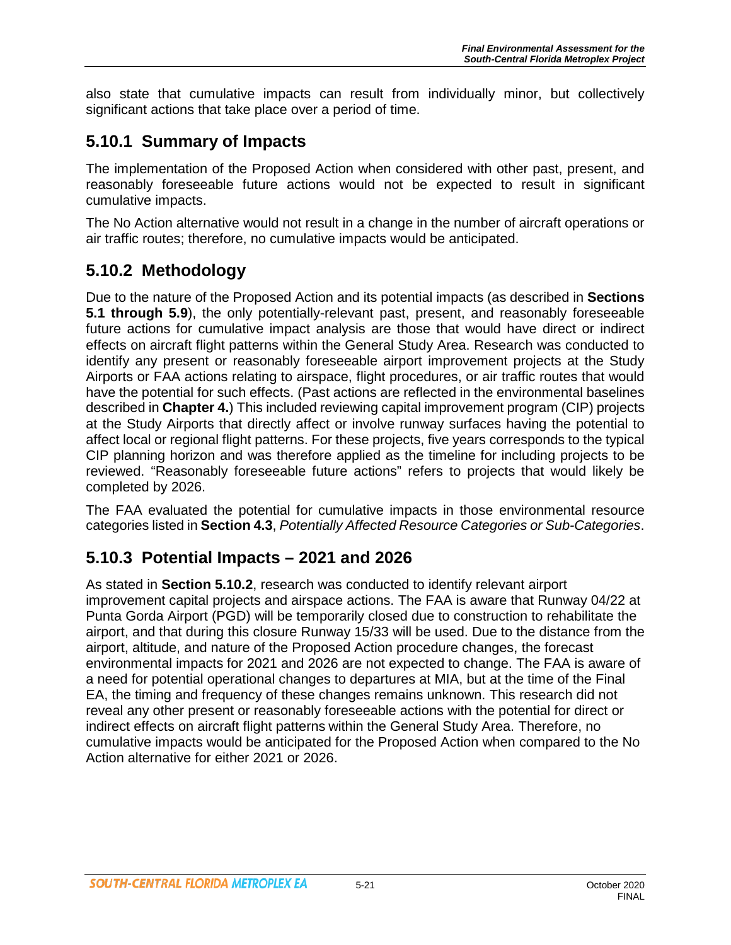also state that cumulative impacts can result from individually minor, but collectively significant actions that take place over a period of time.

#### **5.10.1 Summary of Impacts**

The implementation of the Proposed Action when considered with other past, present, and reasonably foreseeable future actions would not be expected to result in significant cumulative impacts.

The No Action alternative would not result in a change in the number of aircraft operations or air traffic routes; therefore, no cumulative impacts would be anticipated.

# **5.10.2 Methodology**

Due to the nature of the Proposed Action and its potential impacts (as described in **Sections 5.1 through 5.9**), the only potentially-relevant past, present, and reasonably foreseeable future actions for cumulative impact analysis are those that would have direct or indirect effects on aircraft flight patterns within the General Study Area. Research was conducted to identify any present or reasonably foreseeable airport improvement projects at the Study Airports or FAA actions relating to airspace, flight procedures, or air traffic routes that would have the potential for such effects. (Past actions are reflected in the environmental baselines described in **Chapter 4.**) This included reviewing capital improvement program (CIP) projects at the Study Airports that directly affect or involve runway surfaces having the potential to affect local or regional flight patterns. For these projects, five years corresponds to the typical CIP planning horizon and was therefore applied as the timeline for including projects to be reviewed. "Reasonably foreseeable future actions" refers to projects that would likely be completed by 2026.

The FAA evaluated the potential for cumulative impacts in those environmental resource categories listed in **Section 4.3**, *Potentially Affected Resource Categories or Sub-Categories*.

# **5.10.3 Potential Impacts – 2021 and 2026**

As stated in **Section 5.10.2**, research was conducted to identify relevant airport improvement capital projects and airspace actions. The FAA is aware that Runway 04/22 at Punta Gorda Airport (PGD) will be temporarily closed due to construction to rehabilitate the airport, and that during this closure Runway 15/33 will be used. Due to the distance from the airport, altitude, and nature of the Proposed Action procedure changes, the forecast environmental impacts for 2021 and 2026 are not expected to change. The FAA is aware of a need for potential operational changes to departures at MIA, but at the time of the Final EA, the timing and frequency of these changes remains unknown. This research did not reveal any other present or reasonably foreseeable actions with the potential for direct or indirect effects on aircraft flight patterns within the General Study Area. Therefore, no cumulative impacts would be anticipated for the Proposed Action when compared to the No Action alternative for either 2021 or 2026.